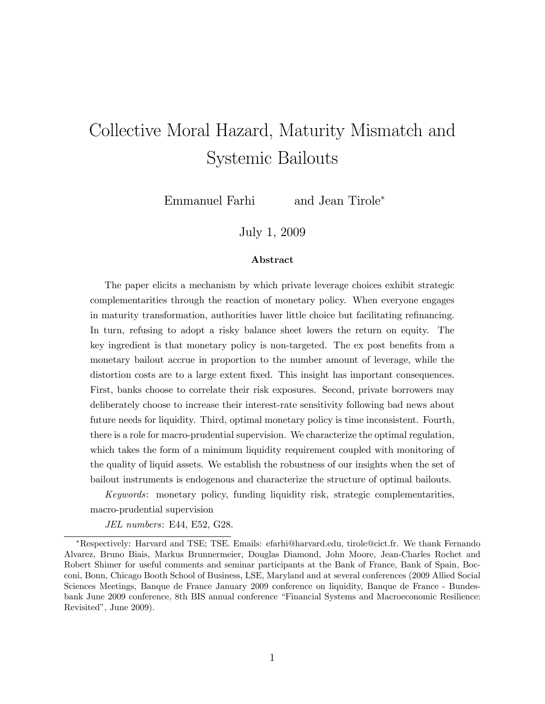# Collective Moral Hazard, Maturity Mismatch and Systemic Bailouts

Emmanuel Farhi and Jean Tirole<sup>∗</sup>

July 1, 2009

#### Abstract

The paper elicits a mechanism by which private leverage choices exhibit strategic complementarities through the reaction of monetary policy. When everyone engages in maturity transformation, authorities haver little choice but facilitating refinancing. In turn, refusing to adopt a risky balance sheet lowers the return on equity. The key ingredient is that monetary policy is non-targeted. The ex post benefits from a monetary bailout accrue in proportion to the number amount of leverage, while the distortion costs are to a large extent fixed. This insight has important consequences. First, banks choose to correlate their risk exposures. Second, private borrowers may deliberately choose to increase their interest-rate sensitivity following bad news about future needs for liquidity. Third, optimal monetary policy is time inconsistent. Fourth, there is a role for macro-prudential supervision. We characterize the optimal regulation, which takes the form of a minimum liquidity requirement coupled with monitoring of the quality of liquid assets. We establish the robustness of our insights when the set of bailout instruments is endogenous and characterize the structure of optimal bailouts.

Keywords: monetary policy, funding liquidity risk, strategic complementarities, macro-prudential supervision

JEL numbers: E44, E52, G28.

<sup>∗</sup>Respectively: Harvard and TSE; TSE. Emails: efarhi@harvard.edu, tirole@cict.fr. We thank Fernando Alvarez, Bruno Biais, Markus Brunnermeier, Douglas Diamond, John Moore, Jean-Charles Rochet and Robert Shimer for useful comments and seminar participants at the Bank of France, Bank of Spain, Bocconi, Bonn, Chicago Booth School of Business, LSE, Maryland and at several conferences (2009 Allied Social Sciences Meetings, Banque de France January 2009 conference on liquidity, Banque de France - Bundesbank June 2009 conference, 8th BIS annual conference "Financial Systems and Macroeconomic Resilience: Revisited", June 2009).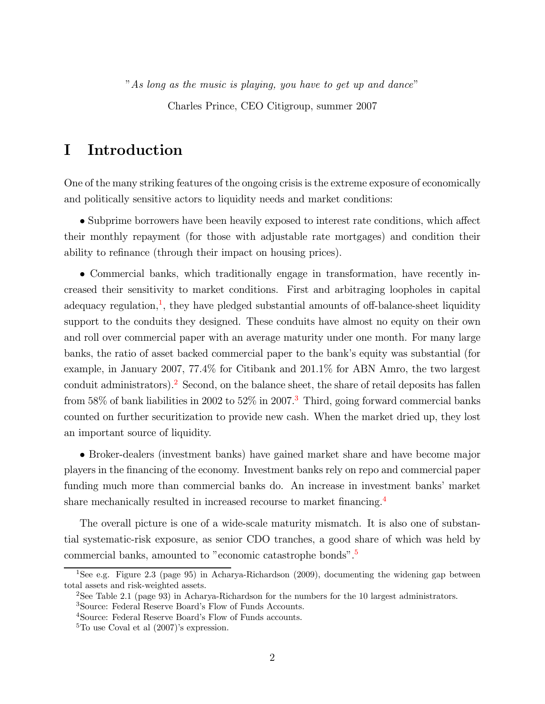"As long as the music is playing, you have to get up and dance"

Charles Prince, CEO Citigroup, summer 2007

# I Introduction

One of the many striking features of the ongoing crisis is the extreme exposure of economically and politically sensitive actors to liquidity needs and market conditions:

• Subprime borrowers have been heavily exposed to interest rate conditions, which affect their monthly repayment (for those with adjustable rate mortgages) and condition their ability to refinance (through their impact on housing prices).

• Commercial banks, which traditionally engage in transformation, have recently increased their sensitivity to market conditions. First and arbitraging loopholes in capital adequacy regulation, $\frac{1}{k}$ , they have pledged substantial amounts of off-balance-sheet liquidity support to the conduits they designed. These conduits have almost no equity on their own and roll over commercial paper with an average maturity under one month. For many large banks, the ratio of asset backed commercial paper to the bank's equity was substantial (for example, in January 2007, 77.4% for Citibank and 201.1% for ABN Amro, the two largest conduit administrators).<sup>2</sup> Second, on the balance sheet, the share of retail deposits has fallen from 58% of bank liabilities in 2002 to 52% in 2007.<sup>3</sup> Third, going forward commercial banks counted on further securitization to provide new cash. When the market dried up, they lost an important source of liquidity.

• Broker-dealers (investment banks) have gained market share and have become major players in the financing of the economy. Investment banks rely on repo and commercial paper funding much more than commercial banks do. An increase in investment banks' market share mechanically resulted in increased recourse to market financing.<sup>4</sup>

The overall picture is one of a wide-scale maturity mismatch. It is also one of substantial systematic-risk exposure, as senior CDO tranches, a good share of which was held by commercial banks, amounted to "economic catastrophe bonds".<sup>5</sup>

<sup>1</sup>See e.g. Figure 2.3 (page 95) in Acharya-Richardson (2009), documenting the widening gap between total assets and risk-weighted assets.

<sup>2</sup>See Table 2.1 (page 93) in Acharya-Richardson for the numbers for the 10 largest administrators. <sup>3</sup>Source: Federal Reserve Board's Flow of Funds Accounts.

<sup>4</sup>Source: Federal Reserve Board's Flow of Funds accounts.

 ${}^{5}$ To use Coval et al  $(2007)$ 's expression.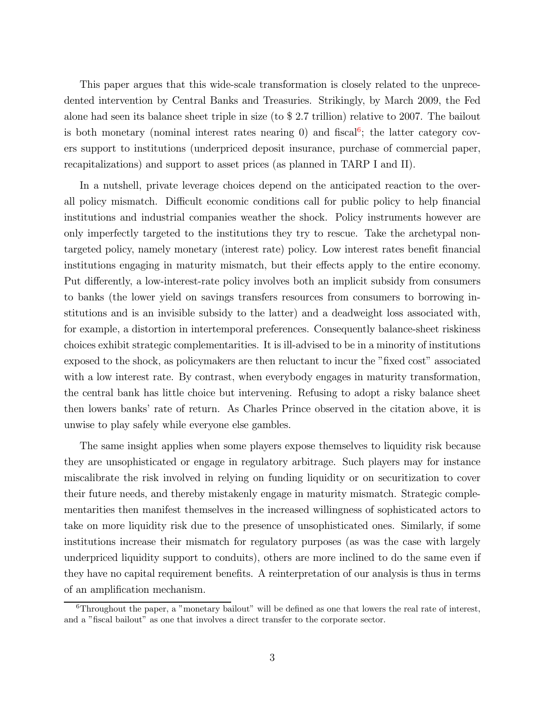This paper argues that this wide-scale transformation is closely related to the unprecedented intervention by Central Banks and Treasuries. Strikingly, by March 2009, the Fed alone had seen its balance sheet triple in size (to \$ 2.7 trillion) relative to 2007. The bailout is both monetary (nominal interest rates nearing 0) and fiscal<sup>6</sup>; the latter category covers support to institutions (underpriced deposit insurance, purchase of commercial paper, recapitalizations) and support to asset prices (as planned in TARP I and II).

In a nutshell, private leverage choices depend on the anticipated reaction to the overall policy mismatch. Difficult economic conditions call for public policy to help financial institutions and industrial companies weather the shock. Policy instruments however are only imperfectly targeted to the institutions they try to rescue. Take the archetypal nontargeted policy, namely monetary (interest rate) policy. Low interest rates benefit financial institutions engaging in maturity mismatch, but their effects apply to the entire economy. Put differently, a low-interest-rate policy involves both an implicit subsidy from consumers to banks (the lower yield on savings transfers resources from consumers to borrowing institutions and is an invisible subsidy to the latter) and a deadweight loss associated with, for example, a distortion in intertemporal preferences. Consequently balance-sheet riskiness choices exhibit strategic complementarities. It is ill-advised to be in a minority of institutions exposed to the shock, as policymakers are then reluctant to incur the "fixed cost" associated with a low interest rate. By contrast, when everybody engages in maturity transformation, the central bank has little choice but intervening. Refusing to adopt a risky balance sheet then lowers banks' rate of return. As Charles Prince observed in the citation above, it is unwise to play safely while everyone else gambles.

The same insight applies when some players expose themselves to liquidity risk because they are unsophisticated or engage in regulatory arbitrage. Such players may for instance miscalibrate the risk involved in relying on funding liquidity or on securitization to cover their future needs, and thereby mistakenly engage in maturity mismatch. Strategic complementarities then manifest themselves in the increased willingness of sophisticated actors to take on more liquidity risk due to the presence of unsophisticated ones. Similarly, if some institutions increase their mismatch for regulatory purposes (as was the case with largely underpriced liquidity support to conduits), others are more inclined to do the same even if they have no capital requirement benefits. A reinterpretation of our analysis is thus in terms of an amplification mechanism.

 ${}^{6}$ Throughout the paper, a "monetary bailout" will be defined as one that lowers the real rate of interest, and a "fiscal bailout" as one that involves a direct transfer to the corporate sector.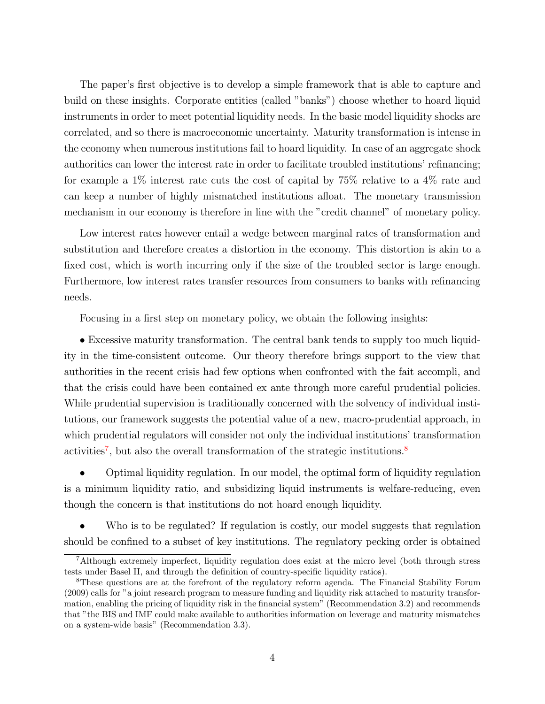The paper's first objective is to develop a simple framework that is able to capture and build on these insights. Corporate entities (called "banks") choose whether to hoard liquid instruments in order to meet potential liquidity needs. In the basic model liquidity shocks are correlated, and so there is macroeconomic uncertainty. Maturity transformation is intense in the economy when numerous institutions fail to hoard liquidity. In case of an aggregate shock authorities can lower the interest rate in order to facilitate troubled institutions' refinancing; for example a 1% interest rate cuts the cost of capital by 75% relative to a 4% rate and can keep a number of highly mismatched institutions afloat. The monetary transmission mechanism in our economy is therefore in line with the "credit channel" of monetary policy.

Low interest rates however entail a wedge between marginal rates of transformation and substitution and therefore creates a distortion in the economy. This distortion is akin to a fixed cost, which is worth incurring only if the size of the troubled sector is large enough. Furthermore, low interest rates transfer resources from consumers to banks with refinancing needs.

Focusing in a first step on monetary policy, we obtain the following insights:

• Excessive maturity transformation. The central bank tends to supply too much liquidity in the time-consistent outcome. Our theory therefore brings support to the view that authorities in the recent crisis had few options when confronted with the fait accompli, and that the crisis could have been contained ex ante through more careful prudential policies. While prudential supervision is traditionally concerned with the solvency of individual institutions, our framework suggests the potential value of a new, macro-prudential approach, in which prudential regulators will consider not only the individual institutions' transformation activities<sup>7</sup>, but also the overall transformation of the strategic institutions.<sup>8</sup>

• Optimal liquidity regulation. In our model, the optimal form of liquidity regulation is a minimum liquidity ratio, and subsidizing liquid instruments is welfare-reducing, even though the concern is that institutions do not hoard enough liquidity.

Who is to be regulated? If regulation is costly, our model suggests that regulation should be confined to a subset of key institutions. The regulatory pecking order is obtained

<sup>7</sup>Although extremely imperfect, liquidity regulation does exist at the micro level (both through stress tests under Basel II, and through the definition of country-specific liquidity ratios).

<sup>8</sup>These questions are at the forefront of the regulatory reform agenda. The Financial Stability Forum (2009) calls for "a joint research program to measure funding and liquidity risk attached to maturity transformation, enabling the pricing of liquidity risk in the financial system" (Recommendation 3.2) and recommends that "the BIS and IMF could make available to authorities information on leverage and maturity mismatches on a system-wide basis" (Recommendation 3.3).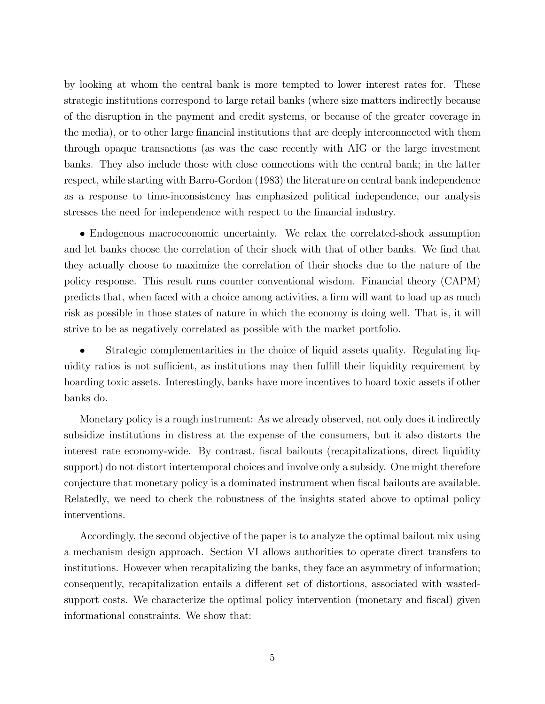by looking at whom the central bank is more tempted to lower interest rates for. These strategic institutions correspond to large retail banks (where size matters indirectly because of the disruption in the payment and credit systems, or because of the greater coverage in the media), or to other large financial institutions that are deeply interconnected with them through opaque transactions (as was the case recently with AIG or the large investment banks. They also include those with close connections with the central bank; in the latter respect, while starting with Barro-Gordon (1983) the literature on central bank independence as a response to time-inconsistency has emphasized political independence, our analysis stresses the need for independence with respect to the financial industry.

• Endogenous macroeconomic uncertainty. We relax the correlated-shock assumption and let banks choose the correlation of their shock with that of other banks. We find that they actually choose to maximize the correlation of their shocks due to the nature of the policy response. This result runs counter conventional wisdom. Financial theory (CAPM) predicts that, when faced with a choice among activities, a firm will want to load up as much risk as possible in those states of nature in which the economy is doing well. That is, it will strive to be as negatively correlated as possible with the market portfolio.

• Strategic complementarities in the choice of liquid assets quality. Regulating liquidity ratios is not sufficient, as institutions may then fulfill their liquidity requirement by hoarding toxic assets. Interestingly, banks have more incentives to hoard toxic assets if other banks do.

Monetary policy is a rough instrument: As we already observed, not only does it indirectly subsidize institutions in distress at the expense of the consumers, but it also distorts the interest rate economy-wide. By contrast, fiscal bailouts (recapitalizations, direct liquidity support) do not distort intertemporal choices and involve only a subsidy. One might therefore conjecture that monetary policy is a dominated instrument when fiscal bailouts are available. Relatedly, we need to check the robustness of the insights stated above to optimal policy interventions.

Accordingly, the second objective of the paper is to analyze the optimal bailout mix using a mechanism design approach. Section VI allows authorities to operate direct transfers to institutions. However when recapitalizing the banks, they face an asymmetry of information; consequently, recapitalization entails a different set of distortions, associated with wastedsupport costs. We characterize the optimal policy intervention (monetary and fiscal) given informational constraints. We show that: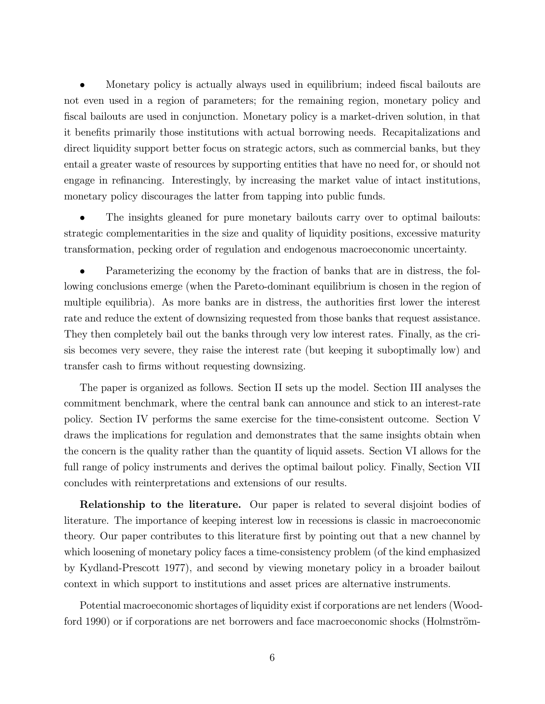• Monetary policy is actually always used in equilibrium; indeed fiscal bailouts are not even used in a region of parameters; for the remaining region, monetary policy and fiscal bailouts are used in conjunction. Monetary policy is a market-driven solution, in that it benefits primarily those institutions with actual borrowing needs. Recapitalizations and direct liquidity support better focus on strategic actors, such as commercial banks, but they entail a greater waste of resources by supporting entities that have no need for, or should not engage in refinancing. Interestingly, by increasing the market value of intact institutions, monetary policy discourages the latter from tapping into public funds.

The insights gleaned for pure monetary bailouts carry over to optimal bailouts: strategic complementarities in the size and quality of liquidity positions, excessive maturity transformation, pecking order of regulation and endogenous macroeconomic uncertainty.

• Parameterizing the economy by the fraction of banks that are in distress, the following conclusions emerge (when the Pareto-dominant equilibrium is chosen in the region of multiple equilibria). As more banks are in distress, the authorities first lower the interest rate and reduce the extent of downsizing requested from those banks that request assistance. They then completely bail out the banks through very low interest rates. Finally, as the crisis becomes very severe, they raise the interest rate (but keeping it suboptimally low) and transfer cash to firms without requesting downsizing.

The paper is organized as follows. Section II sets up the model. Section III analyses the commitment benchmark, where the central bank can announce and stick to an interest-rate policy. Section IV performs the same exercise for the time-consistent outcome. Section V draws the implications for regulation and demonstrates that the same insights obtain when the concern is the quality rather than the quantity of liquid assets. Section VI allows for the full range of policy instruments and derives the optimal bailout policy. Finally, Section VII concludes with reinterpretations and extensions of our results.

**Relationship to the literature.** Our paper is related to several disjoint bodies of literature. The importance of keeping interest low in recessions is classic in macroeconomic theory. Our paper contributes to this literature first by pointing out that a new channel by which loosening of monetary policy faces a time-consistency problem (of the kind emphasized by Kydland-Prescott 1977), and second by viewing monetary policy in a broader bailout context in which support to institutions and asset prices are alternative instruments.

Potential macroeconomic shortages of liquidity exist if corporations are net lenders (Woodford 1990) or if corporations are net borrowers and face macroeconomic shocks (Holmström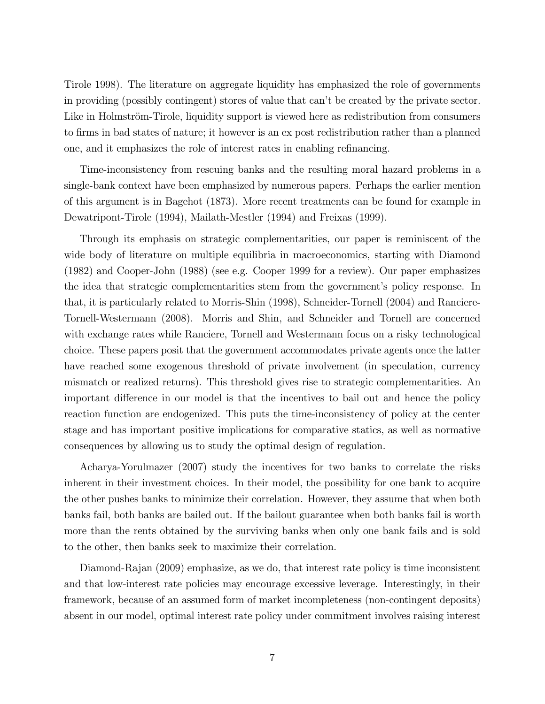Tirole 1998). The literature on aggregate liquidity has emphasized the role of governments in providing (possibly contingent) stores of value that can't be created by the private sector. Like in Holmström-Tirole, liquidity support is viewed here as redistribution from consumers to firms in bad states of nature; it however is an ex post redistribution rather than a planned one, and it emphasizes the role of interest rates in enabling refinancing.

Time-inconsistency from rescuing banks and the resulting moral hazard problems in a single-bank context have been emphasized by numerous papers. Perhaps the earlier mention of this argument is in Bagehot (1873). More recent treatments can be found for example in Dewatripont-Tirole (1994), Mailath-Mestler (1994) and Freixas (1999).

Through its emphasis on strategic complementarities, our paper is reminiscent of the wide body of literature on multiple equilibria in macroeconomics, starting with Diamond (1982) and Cooper-John (1988) (see e.g. Cooper 1999 for a review). Our paper emphasizes the idea that strategic complementarities stem from the government's policy response. In that, it is particularly related to Morris-Shin (1998), Schneider-Tornell (2004) and Ranciere-Tornell-Westermann (2008). Morris and Shin, and Schneider and Tornell are concerned with exchange rates while Ranciere, Tornell and Westermann focus on a risky technological choice. These papers posit that the government accommodates private agents once the latter have reached some exogenous threshold of private involvement (in speculation, currency mismatch or realized returns). This threshold gives rise to strategic complementarities. An important difference in our model is that the incentives to bail out and hence the policy reaction function are endogenized. This puts the time-inconsistency of policy at the center stage and has important positive implications for comparative statics, as well as normative consequences by allowing us to study the optimal design of regulation.

Acharya-Yorulmazer (2007) study the incentives for two banks to correlate the risks inherent in their investment choices. In their model, the possibility for one bank to acquire the other pushes banks to minimize their correlation. However, they assume that when both banks fail, both banks are bailed out. If the bailout guarantee when both banks fail is worth more than the rents obtained by the surviving banks when only one bank fails and is sold to the other, then banks seek to maximize their correlation.

Diamond-Rajan (2009) emphasize, as we do, that interest rate policy is time inconsistent and that low-interest rate policies may encourage excessive leverage. Interestingly, in their framework, because of an assumed form of market incompleteness (non-contingent deposits) absent in our model, optimal interest rate policy under commitment involves raising interest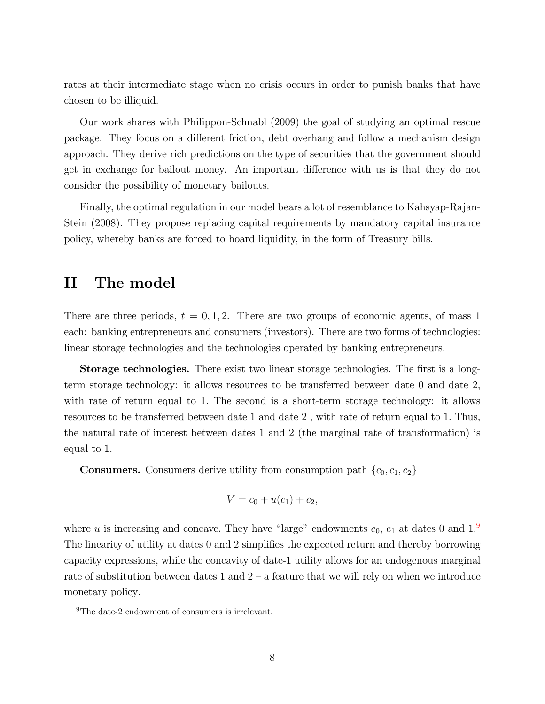rates at their intermediate stage when no crisis occurs in order to punish banks that have chosen to be illiquid.

Our work shares with Philippon-Schnabl (2009) the goal of studying an optimal rescue package. They focus on a different friction, debt overhang and follow a mechanism design approach. They derive rich predictions on the type of securities that the government should get in exchange for bailout money. An important difference with us is that they do not consider the possibility of monetary bailouts.

Finally, the optimal regulation in our model bears a lot of resemblance to Kahsyap-Rajan-Stein (2008). They propose replacing capital requirements by mandatory capital insurance policy, whereby banks are forced to hoard liquidity, in the form of Treasury bills.

## II The model

There are three periods,  $t = 0, 1, 2$ . There are two groups of economic agents, of mass 1 each: banking entrepreneurs and consumers (investors). There are two forms of technologies: linear storage technologies and the technologies operated by banking entrepreneurs.

Storage technologies. There exist two linear storage technologies. The first is a longterm storage technology: it allows resources to be transferred between date 0 and date 2, with rate of return equal to 1. The second is a short-term storage technology: it allows resources to be transferred between date 1 and date 2, with rate of return equal to 1. Thus, the natural rate of interest between dates 1 and 2 (the marginal rate of transformation) is equal to 1.

**Consumers.** Consumers derive utility from consumption path  $\{c_0, c_1, c_2\}$ 

$$
V = c_0 + u(c_1) + c_2,
$$

where *u* is increasing and concave. They have "large" endowments  $e_0$ ,  $e_1$  at dates 0 and 1.<sup>9</sup> The linearity of utility at dates 0 and 2 simplifies the expected return and thereby borrowing capacity expressions, while the concavity of date-1 utility allows for an endogenous marginal rate of substitution between dates 1 and  $2 - a$  feature that we will rely on when we introduce monetary policy

<sup>&</sup>lt;sup>9</sup>The date-2 endowment of consumers is irrelevant.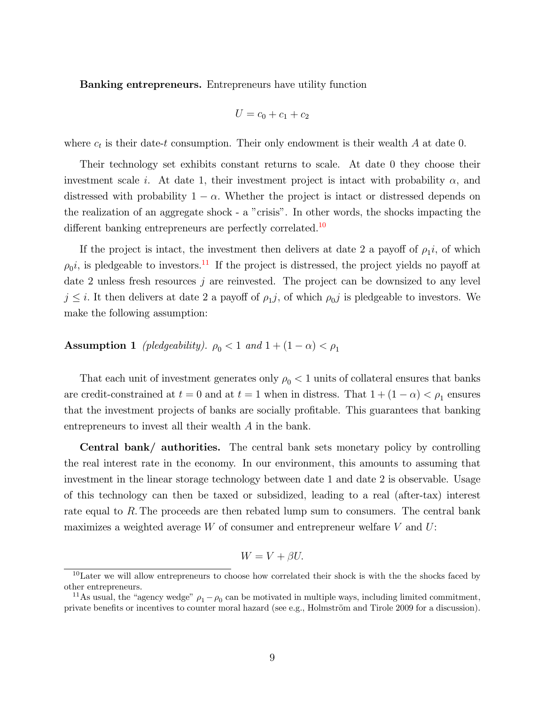Banking entrepreneurs. Entrepreneurs have utility function

$$
U = c_0 + c_1 + c_2
$$

where  $c_t$  is their date-t consumption. Their only endowment is their wealth A at date 0.

Their technology set exhibits constant returns to scale. At date 0 they choose their investment scale i. At date 1, their investment project is intact with probability  $\alpha$ , and distressed with probability  $1 - \alpha$ . Whether the project is intact or distressed depends on the realization of an aggregate shock - a "crisis". In other words, the shocks impacting the different banking entrepreneurs are perfectly correlated.<sup>10</sup>

If the project is intact, the investment then delivers at date 2 a payoff of  $\rho_1 i$ , of which  $\rho_0 i$ , is pledgeable to investors.<sup>11</sup> If the project is distressed, the project yields no payoff at date 2 unless fresh resources  $j$  are reinvested. The project can be downsized to any level  $j \leq i$ . It then delivers at date 2 a payoff of  $\rho_1 j$ , of which  $\rho_0 j$  is pledgeable to investors. We make the following assumption:

## Assumption 1 (pledgeability).  $\rho_0 < 1$  and  $1 + (1 - \alpha) < \rho_1$

That each unit of investment generates only  $\rho_0 < 1$  units of collateral ensures that banks are credit-constrained at  $t = 0$  and at  $t = 1$  when in distress. That  $1 + (1 - \alpha) < \rho_1$  ensures that the investment projects of banks are socially profitable. This guarantees that banking entrepreneurs to invest all their wealth  $\Lambda$  in the bank.

Central bank/ authorities. The central bank sets monetary policy by controlling the real interest rate in the economy. In our environment, this amounts to assuming that investment in the linear storage technology between date 1 and date 2 is observable. Usage of this technology can then be taxed or subsidized, leading to a real (after-tax) interest rate equal to  $R$ . The proceeds are then rebated lump sum to consumers. The central bank maximizes a weighted average  $W$  of consumer and entrepreneur welfare  $V$  and  $U$ :

$$
W = V + \beta U.
$$

<sup>&</sup>lt;sup>10</sup>Later we will allow entrepreneurs to choose how correlated their shock is with the the shocks faced by other entrepreneurs.

<sup>&</sup>lt;sup>11</sup>As usual, the "agency wedge"  $\rho_1 - \rho_0$  can be motivated in multiple ways, including limited commitment, private benefits or incentives to counter moral hazard (see e.g., Holmström and Tirole 2009 for a discussion).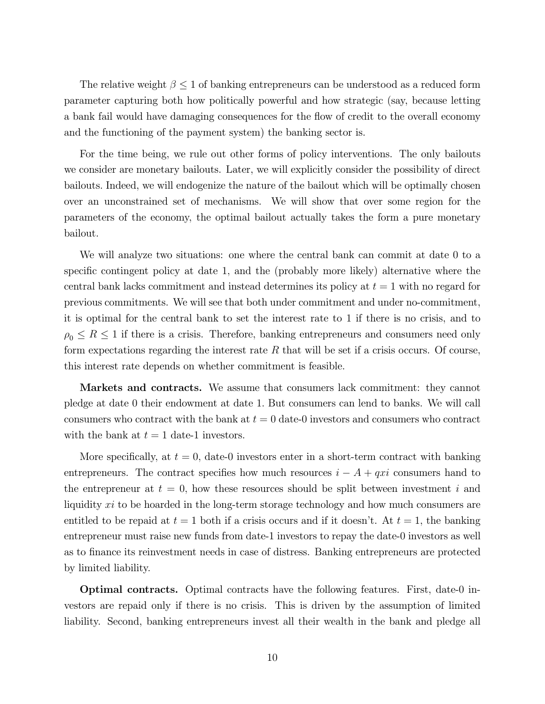The relative weight  $\beta \leq 1$  of banking entrepreneurs can be understood as a reduced form parameter capturing both how politically powerful and how strategic (say, because letting a bank fail would have damaging consequences for the flow of credit to the overall economy and the functioning of the payment system) the banking sector is.

For the time being, we rule out other forms of policy interventions. The only bailouts we consider are monetary bailouts. Later, we will explicitly consider the possibility of direct bailouts. Indeed, we will endogenize the nature of the bailout which will be optimally chosen over an unconstrained set of mechanisms. We will show that over some region for the parameters of the economy, the optimal bailout actually takes the form a pure monetary bailout.

We will analyze two situations: one where the central bank can commit at date 0 to a specific contingent policy at date 1, and the (probably more likely) alternative where the central bank lacks commitment and instead determines its policy at  $t = 1$  with no regard for previous commitments. We will see that both under commitment and under no-commitment, it is optimal for the central bank to set the interest rate to 1 if there is no crisis, and to  $\rho_0 \leq R \leq 1$  if there is a crisis. Therefore, banking entrepreneurs and consumers need only form expectations regarding the interest rate  $R$  that will be set if a crisis occurs. Of course, this interest rate depends on whether commitment is feasible.

Markets and contracts. We assume that consumers lack commitment: they cannot pledge at date 0 their endowment at date 1 But consumers can lend to banks. We will call consumers who contract with the bank at  $t = 0$  date-0 investors and consumers who contract with the bank at  $t = 1$  date-1 investors.

More specifically, at  $t = 0$ , date-0 investors enter in a short-term contract with banking entrepreneurs. The contract specifies how much resources  $i - A + qxi$  consumers hand to the entrepreneur at  $t = 0$ , how these resources should be split between investment i and liquidity xi to be hoarded in the long-term storage technology and how much consumers are entitled to be repaid at  $t = 1$  both if a crisis occurs and if it doesn't. At  $t = 1$ , the banking entrepreneur must raise new funds from date-1 investors to repay the date-0 investors as well as to finance its reinvestment needs in case of distress. Banking entrepreneurs are protected by limited liability.

Optimal contracts. Optimal contracts have the following features. First, date-0 investors are repaid only if there is no crisis. This is driven by the assumption of limited liability. Second, banking entrepreneurs invest all their wealth in the bank and pledge all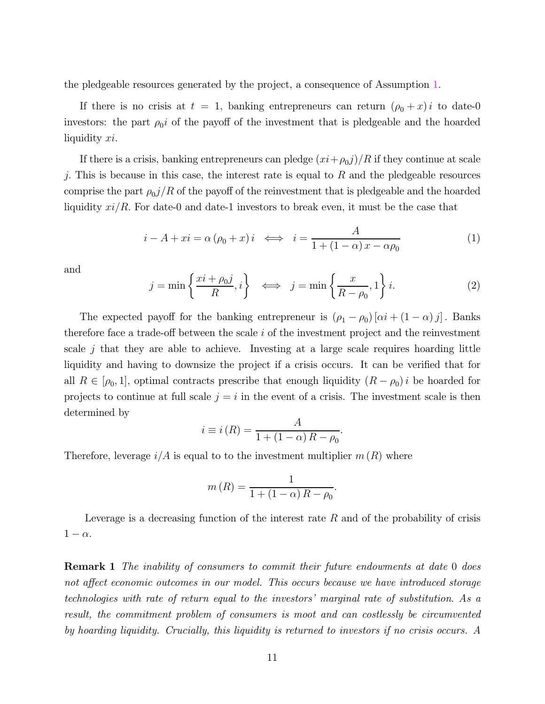the pledgeable resources generated by the project, a consequence of Assumption 1.

If there is no crisis at  $t = 1$ , banking entrepreneurs can return  $(\rho_0 + x) i$  to date-0 investors: the part  $\rho_0 i$  of the payoff of the investment that is pledgeable and the hoarded liquidity  $xi$ .

If there is a crisis, banking entrepreneurs can pledge  $(x_i + \rho_0 j)/R$  if they continue at scale j. This is because in this case, the interest rate is equal to  $R$  and the pledgeable resources comprise the part  $\rho_0 j/R$  of the payoff of the reinvestment that is pledgeable and the hoarded liquidity  $xi/R$ . For date-0 and date-1 investors to break even, it must be the case that

$$
i - A + xi = \alpha (\rho_0 + x) i \iff i = \frac{A}{1 + (1 - \alpha)x - \alpha \rho_0}
$$
 (1)

and

$$
j = \min\left\{\frac{x i + \rho_0 j}{R}, i\right\} \iff j = \min\left\{\frac{x}{R - \rho_0}, 1\right\} i. \tag{2}
$$

 $\ddot{\phantom{0}}$ 

The expected payoff for the banking entrepreneur is  $(\rho_1 - \rho_0) [\alpha i + (1 - \alpha) j]$ . Banks therefore face a trade-off between the scale  $i$  of the investment project and the reinvestment scale  $i$  that they are able to achieve. Investing at a large scale requires hoarding little liquidity and having to downsize the project if a crisis occurs. It can be verified that for all  $R \in [\rho_0, 1]$ , optimal contracts prescribe that enough liquidity  $(R - \rho_0)i$  be hoarded for projects to continue at full scale  $j = i$  in the event of a crisis. The investment scale is then determined by

$$
i \equiv i (R) = \frac{A}{1 + (1 - \alpha) R - \rho_0}
$$

Therefore, leverage  $i/A$  is equal to to the investment multiplier  $m(R)$  where

$$
m(R) = \frac{1}{1 + (1 - \alpha)R - \rho_0}.
$$

Leverage is a decreasing function of the interest rate  $R$  and of the probability of crisis  $1 - \alpha$ .

**Remark 1** The inability of consumers to commit their future endowments at date 0 does not affect economic outcomes in our model. This occurs because we have introduced storage technologies with rate of return equal to the investors' marginal rate of substitution As a result, the commitment problem of consumers is moot and can costlessly be circumvented by hoarding liquidity. Crucially, this liquidity is returned to investors if no crisis occurs. A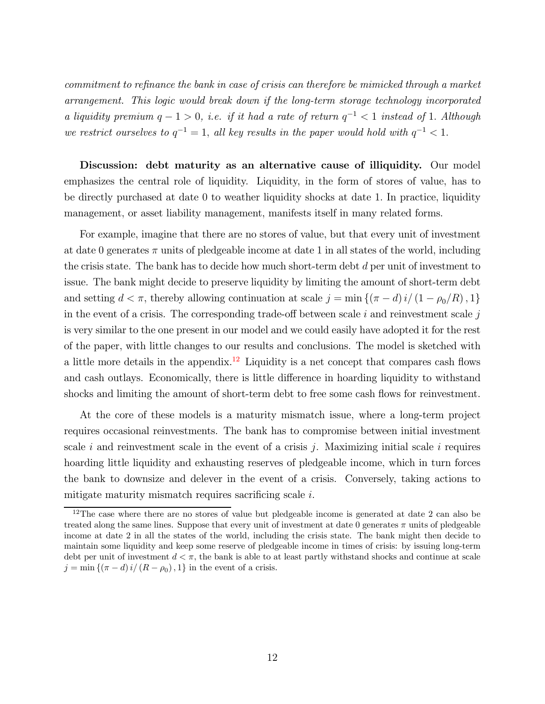commitment to refinance the bank in case of crisis can therefore be mimicked through a market arrangement. This logic would break down if the long-term storage technology incorporated a liquidity premium  $q - 1 > 0$ , i.e. if it had a rate of return  $q^{-1} < 1$  instead of 1. Although we restrict ourselves to  $q^{-1} = 1$ , all key results in the paper would hold with  $q^{-1} < 1$ .

Discussion: debt maturity as an alternative cause of illiquidity. Our model emphasizes the central role of liquidity. Liquidity, in the form of stores of value, has to be directly purchased at date 0 to weather liquidity shocks at date 1. In practice, liquidity management, or asset liability management, manifests itself in many related forms.

For example, imagine that there are no stores of value, but that every unit of investment at date 0 generates  $\pi$  units of pledgeable income at date 1 in all states of the world, including the crisis state. The bank has to decide how much short-term debt  $d$  per unit of investment to issue. The bank might decide to preserve liquidity by limiting the amount of short-term debt and setting  $d < \pi$ , thereby allowing continuation at scale  $j = \min \{(\pi - d) i / (1 - \rho_0 / R), 1\}$ in the event of a crisis. The corresponding trade-off between scale  $i$  and reinvestment scale  $j$ is very similar to the one present in our model and we could easily have adopted it for the rest of the paper, with little changes to our results and conclusions. The model is sketched with a little more details in the appendix.<sup>12</sup> Liquidity is a net concept that compares cash flows and cash outlays. Economically, there is little difference in hoarding liquidity to withstand shocks and limiting the amount of short-term debt to free some cash flows for reinvestment.

At the core of these models is a maturity mismatch issue, where a long-term project requires occasional reinvestments. The bank has to compromise between initial investment scale i and reinvestment scale in the event of a crisis  $j$ . Maximizing initial scale i requires hoarding little liquidity and exhausting reserves of pledgeable income, which in turn forces the bank to downsize and delever in the event of a crisis. Conversely, taking actions to mitigate maturity mismatch requires sacrificing scale  $i$ .

 $12$ The case where there are no stores of value but pledgeable income is generated at date 2 can also be treated along the same lines. Suppose that every unit of investment at date 0 generates  $\pi$  units of pledgeable income at date 2 in all the states of the world, including the crisis state. The bank might then decide to maintain some liquidity and keep some reserve of pledgeable income in times of crisis: by issuing long-term debt per unit of investment  $d < \pi$ , the bank is able to at least partly withstand shocks and continue at scale  $j = \min \{ (\pi - d) i / (R - \rho_0), 1 \}$  in the event of a crisis.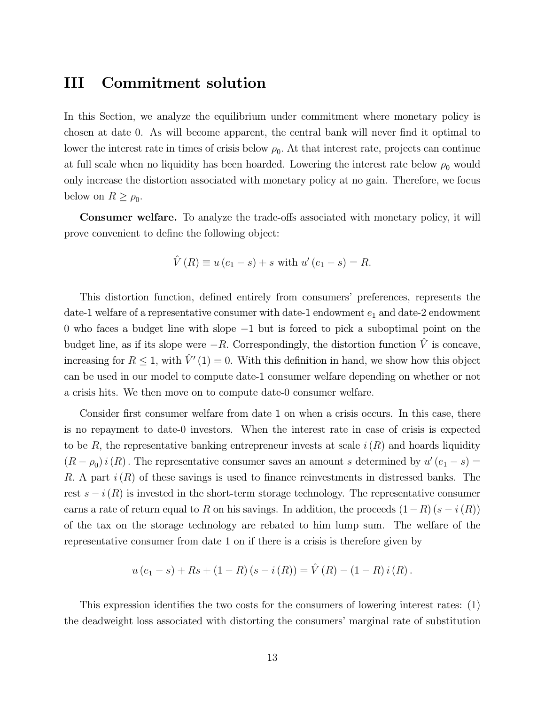## III Commitment solution

In this Section, we analyze the equilibrium under commitment where monetary policy is chosen at date 0. As will become apparent, the central bank will never find it optimal to lower the interest rate in times of crisis below  $\rho_0$ . At that interest rate, projects can continue at full scale when no liquidity has been hoarded. Lowering the interest rate below  $\rho_0$  would only increase the distortion associated with monetary policy at no gain. Therefore, we focus below on  $R \geq \rho_0$ .

Consumer welfare. To analyze the trade-offs associated with monetary policy, it will prove convenient to define the following object:

$$
\hat{V}(R) \equiv u(e_1 - s) + s
$$
 with  $u'(e_1 - s) = R$ .

This distortion function, defined entirely from consumers' preferences, represents the date-1 welfare of a representative consumer with date-1 endowment  $e_1$  and date-2 endowment 0 who faces a budget line with slope −1 but is forced to pick a suboptimal point on the budget line, as if its slope were  $-R$ . Correspondingly, the distortion function  $\hat{V}$  is concave, increasing for  $R \leq 1$ , with  $\hat{V}'(1) = 0$ . With this definition in hand, we show how this object can be used in our model to compute date-1 consumer welfare depending on whether or not a crisis hits. We then move on to compute date-0 consumer welfare.

Consider first consumer welfare from date 1 on when a crisis occurs. In this case, there is no repayment to date-0 investors. When the interest rate in case of crisis is expected to be R, the representative banking entrepreneur invests at scale  $i(R)$  and hoards liquidity  $(R - \rho_0)(i(R))$ . The representative consumer saves an amount s determined by  $u'(e_1 - s) =$ R. A part  $i(R)$  of these savings is used to finance reinvestments in distressed banks. The rest  $s - i(R)$  is invested in the short-term storage technology. The representative consumer earns a rate of return equal to R on his savings. In addition, the proceeds  $(1-R)(s-i(R))$ of the tax on the storage technology are rebated to him lump sum. The welfare of the representative consumer from date 1 on if there is a crisis is therefore given by

$$
u(e_1 - s) + Rs + (1 - R)(s - i(R)) = \hat{V}(R) - (1 - R)i(R).
$$

This expression identifies the two costs for the consumers of lowering interest rates: (1) the deadweight loss associated with distorting the consumers' marginal rate of substitution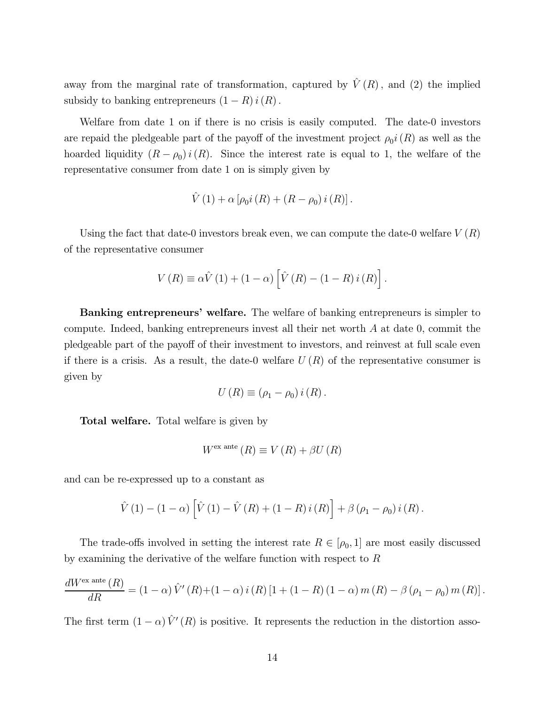away from the marginal rate of transformation, captured by  $\hat{V}(R)$ , and (2) the implied subsidy to banking entrepreneurs  $(1 - R) i(R)$ .

Welfare from date 1 on if there is no crisis is easily computed. The date-0 investors are repaid the pledgeable part of the payoff of the investment project  $\rho_0(i)$  as well as the hoarded liquidity  $(R - \rho_0)(R)$ . Since the interest rate is equal to 1, the welfare of the representative consumer from date 1 on is simply given by

$$
\hat{V}(1) + \alpha \left[ \rho_0 i \left( R \right) + \left( R - \rho_0 \right) i \left( R \right) \right].
$$

Using the fact that date-0 investors break even, we can compute the date-0 welfare  $V(R)$ of the representative consumer

$$
V(R) \equiv \alpha \hat{V}(1) + (1 - \alpha) \left[ \hat{V}(R) - (1 - R)i(R) \right].
$$

Banking entrepreneurs' welfare. The welfare of banking entrepreneurs is simpler to compute. Indeed, banking entrepreneurs invest all their net worth  $A$  at date  $0$ , commit the pledgeable part of the payoff of their investment to investors, and reinvest at full scale even if there is a crisis. As a result, the date-0 welfare  $U(R)$  of the representative consumer is given by

$$
U(R) \equiv (\rho_1 - \rho_0) i(R).
$$

Total welfare. Total welfare is given by

$$
W^{\text{ex ante}}\left(R\right) \equiv V\left(R\right) + \beta U\left(R\right)
$$

and can be re-expressed up to a constant as

$$
\hat{V}(1) - (1 - \alpha) \left[ \hat{V}(1) - \hat{V}(R) + (1 - R)i(R) \right] + \beta (\rho_1 - \rho_0) i(R).
$$

The trade-offs involved in setting the interest rate  $R \in [\rho_0, 1]$  are most easily discussed by examining the derivative of the welfare function with respect to  $R$ 

$$
\frac{dW^{\text{ex ante}}(R)}{dR} = (1 - \alpha)\hat{V}'(R) + (1 - \alpha)i(R)[1 + (1 - R)(1 - \alpha)m(R) - \beta(\rho_1 - \rho_0)m(R)].
$$

The first term  $(1 - \alpha) \hat{V}'(R)$  is positive. It represents the reduction in the distortion asso-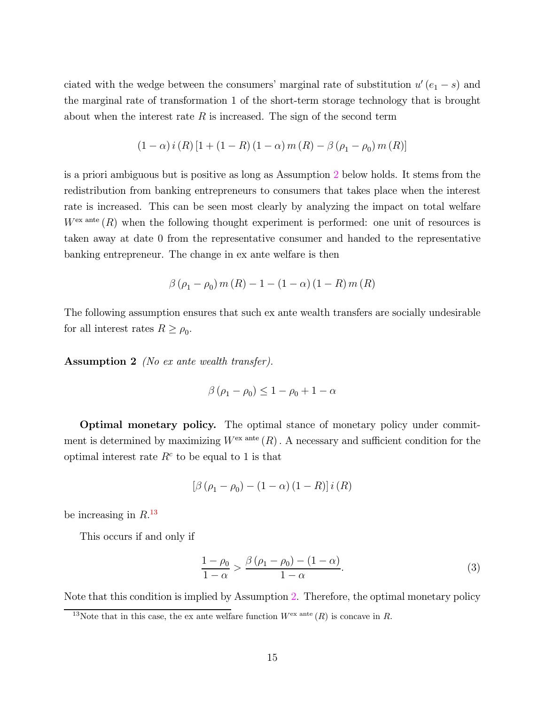ciated with the wedge between the consumers' marginal rate of substitution  $u'(e_1 - s)$  and the marginal rate of transformation 1 of the short-term storage technology that is brought about when the interest rate  $R$  is increased. The sign of the second term

$$
(1 - \alpha) i (R) [1 + (1 - R) (1 - \alpha) m (R) - \beta (\rho_1 - \rho_0) m (R)]
$$

is a priori ambiguous but is positive as long as Assumption 2 below holds. It stems from the redistribution from banking entrepreneurs to consumers that takes place when the interest rate is increased. This can be seen most clearly by analyzing the impact on total welfare  $W^{\text{ex ante}}(R)$  when the following thought experiment is performed: one unit of resources is taken away at date 0 from the representative consumer and handed to the representative banking entrepreneur. The change in ex ante welfare is then

$$
\beta (\rho_1 - \rho_0) m (R) - 1 - (1 - \alpha) (1 - R) m (R)
$$

The following assumption ensures that such ex ante wealth transfers are socially undesirable for all interest rates  $R \geq \rho_0$ .

Assumption 2 (No ex ante wealth transfer).

$$
\beta\left(\rho_1 - \rho_0\right) \le 1 - \rho_0 + 1 - \alpha
$$

Optimal monetary policy. The optimal stance of monetary policy under commitment is determined by maximizing  $W^{\text{ex ante}}(R)$ . A necessary and sufficient condition for the optimal interest rate  $R<sup>c</sup>$  to be equal to 1 is that

$$
\left[\beta\left(\rho_1-\rho_0\right)-\left(1-\alpha\right)\left(1-R\right)\right]i\left(R\right)
$$

be increasing in  $R^{13}$ 

This occurs if and only if

$$
\frac{1-\rho_0}{1-\alpha} > \frac{\beta\left(\rho_1-\rho_0\right)-\left(1-\alpha\right)}{1-\alpha}.\tag{3}
$$

Note that this condition is implied by Assumption 2. Therefore, the optimal monetary policy

<sup>&</sup>lt;sup>13</sup>Note that in this case, the ex ante welfare function  $W^{\text{ex ante}}(R)$  is concave in R.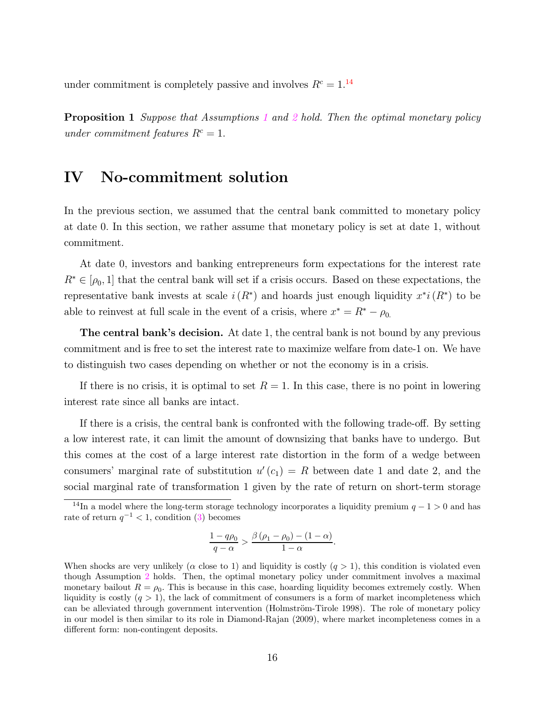under commitment is completely passive and involves  $R<sup>c</sup> = 1<sup>14</sup>$ 

**Proposition 1** Suppose that Assumptions 1 and 2 hold. Then the optimal monetary policy under commitment features  $R<sup>c</sup> = 1$ .

## IV No-commitment solution

In the previous section, we assumed that the central bank committed to monetary policy at date 0. In this section, we rather assume that monetary policy is set at date 1, without commitment.

At date 0, investors and banking entrepreneurs form expectations for the interest rate  $R^* \in [\rho_0, 1]$  that the central bank will set if a crisis occurs. Based on these expectations, the representative bank invests at scale  $i(R^*)$  and hoards just enough liquidity  $x^*i(R^*)$  to be able to reinvest at full scale in the event of a crisis, where  $x^* = R^* - \rho_0$ 

The central bank's decision. At date 1, the central bank is not bound by any previous commitment and is free to set the interest rate to maximize welfare from date-1 on. We have to distinguish two cases depending on whether or not the economy is in a crisis.

If there is no crisis, it is optimal to set  $R = 1$ . In this case, there is no point in lowering interest rate since all banks are intact.

If there is a crisis, the central bank is confronted with the following trade-off. By setting a low interest rate, it can limit the amount of downsizing that banks have to undergo. But this comes at the cost of a large interest rate distortion in the form of a wedge between consumers' marginal rate of substitution  $u'(c_1) = R$  between date 1 and date 2, and the social marginal rate of transformation 1 given by the rate of return on short-term storage

$$
\frac{1-q\rho_0}{q-\alpha} > \frac{\beta\left(\rho_1-\rho_0\right)-\left(1-\alpha\right)}{1-\alpha}.
$$

<sup>&</sup>lt;sup>14</sup>In a model where the long-term storage technology incorporates a liquidity premium  $q - 1 > 0$  and has rate of return  $q^{-1}$  < 1, condition (3) becomes

When shocks are very unlikely ( $\alpha$  close to 1) and liquidity is costly  $(q > 1)$ , this condition is violated even though Assumption 2 holds. Then, the optimal monetary policy under commitment involves a maximal monetary bailout  $R = \rho_0$ . This is because in this case, hoarding liquidity becomes extremely costly. When liquidity is costly  $(q > 1)$ , the lack of commitment of consumers is a form of market incompleteness which can be alleviated through government intervention (Holmström-Tirole 1998). The role of monetary policy in our model is then similar to its role in Diamond-Rajan (2009), where market incompleteness comes in a different form: non-contingent deposits.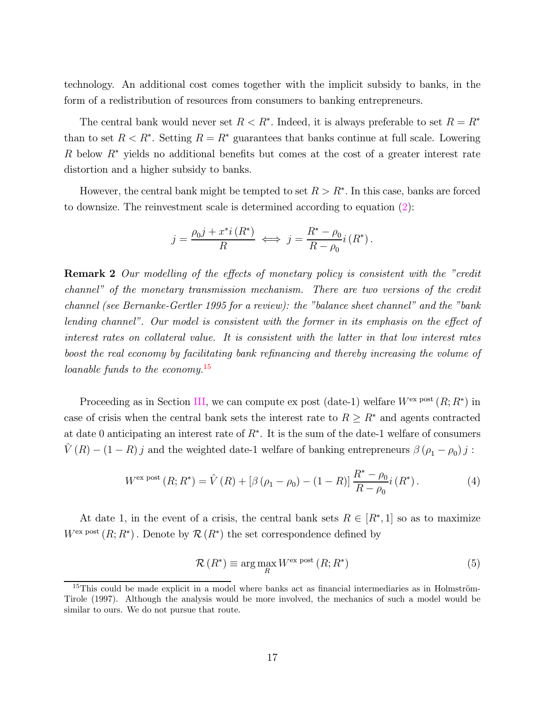technology. An additional cost comes together with the implicit subsidy to banks, in the form of a redistribution of resources from consumers to banking entrepreneurs.

The central bank would never set  $R < R^*$ . Indeed, it is always preferable to set  $R = R^*$ than to set  $R < R^*$ . Setting  $R = R^*$  guarantees that banks continue at full scale. Lowering R below  $R^*$  yields no additional benefits but comes at the cost of a greater interest rate distortion and a higher subsidy to banks.

However, the central bank might be tempted to set  $R > R^*$ . In this case, banks are forced to downsize. The reinvestment scale is determined according to equation (2):

$$
j = \frac{\rho_0 j + x^* i(R^*)}{R} \iff j = \frac{R^* - \rho_0}{R - \rho_0} i(R^*).
$$

Remark 2 Our modelling of the effects of monetary policy is consistent with the "credit channel" of the monetary transmission mechanism. There are two versions of the credit channel (see Bernanke-Gertler 1995 for a review): the "balance sheet channel" and the "bank lending channel". Our model is consistent with the former in its emphasis on the effect of interest rates on collateral value. It is consistent with the latter in that low interest rates boost the real economy by facilitating bank refinancing and thereby increasing the volume of *loanable funds to the economy*.<sup>15</sup>

Proceeding as in Section III, we can compute ex post (date-1) welfare  $W^{\text{ex post}}(R; R^*)$  in case of crisis when the central bank sets the interest rate to  $R \geq R^*$  and agents contracted at date 0 anticipating an interest rate of  $R^*$ . It is the sum of the date-1 welfare of consumers  $\hat{V}(R) - (1 - R)j$  and the weighted date-1 welfare of banking entrepreneurs  $\beta (\rho_1 - \rho_0)j$ :

$$
W^{\text{ex post}}\left(R;R^*\right) = \hat{V}\left(R\right) + \left[\beta\left(\rho_1 - \rho_0\right) - (1 - R)\right] \frac{R^* - \rho_0}{R - \rho_0} i\left(R^*\right). \tag{4}
$$

At date 1, in the event of a crisis, the central bank sets  $R \in [R^*, 1]$  so as to maximize  $W^{\text{ex post}}(R; R^*)$ . Denote by  $\mathcal{R}(R^*)$  the set correspondence defined by

$$
\mathcal{R}\left(R^*\right) \equiv \arg\max_{R} W^{\text{ex post}}\left(R; R^*\right) \tag{5}
$$

 $15$ This could be made explicit in a model where banks act as financial intermediaries as in Holmström-Tirole (1997). Although the analysis would be more involved, the mechanics of such a model would be similar to ours. We do not pursue that route.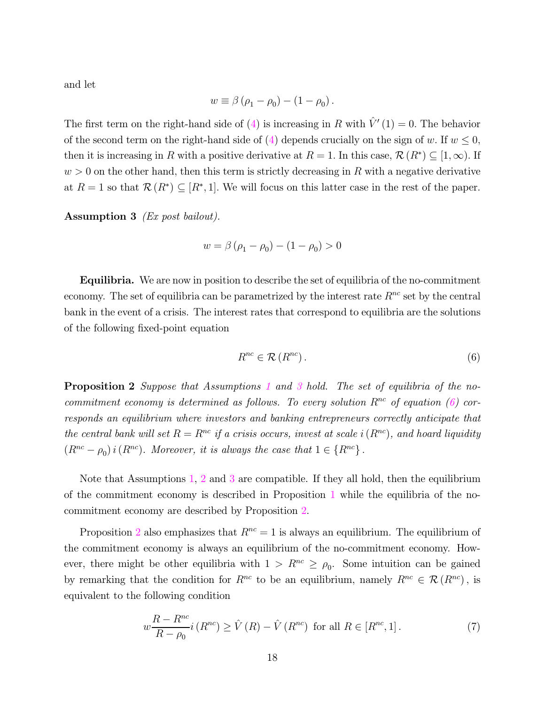and let

$$
w \equiv \beta (\rho_1 - \rho_0) - (1 - \rho_0).
$$

The first term on the right-hand side of (4) is increasing in R with  $\hat{V}'(1) = 0$ . The behavior of the second term on the right-hand side of (4) depends crucially on the sign of w. If  $w \leq 0$ , then it is increasing in R with a positive derivative at  $R = 1$ . In this case,  $\mathcal{R}(R^*) \subseteq [1, \infty)$ . If  $w > 0$  on the other hand, then this term is strictly decreasing in R with a negative derivative at  $R = 1$  so that  $\mathcal{R}(R^*) \subseteq [R^*, 1]$ . We will focus on this latter case in the rest of the paper.

Assumption 3 (Ex post bailout).

$$
w = \beta (\rho_1 - \rho_0) - (1 - \rho_0) > 0
$$

Equilibria. We are now in position to describe the set of equilibria of the no-commitment economy. The set of equilibria can be parametrized by the interest rate  $R^{nc}$  set by the central bank in the event of a crisis. The interest rates that correspond to equilibria are the solutions of the following fixed-point equation

$$
R^{nc} \in \mathcal{R}\left(R^{nc}\right). \tag{6}
$$

Proposition 2 Suppose that Assumptions 1 and 3 hold. The set of equilibria of the nocommitment economy is determined as follows. To every solution  $R^{nc}$  of equation (6) corresponds an equilibrium where investors and banking entrepreneurs correctly anticipate that the central bank will set  $R = R^{nc}$  if a crisis occurs, invest at scale i  $(R^{nc})$ , and hoard liquidity  $(R^{nc} - \rho_0) i(R^{nc})$ . Moreover, it is always the case that  $1 \in \{R^{nc}\}\$ .

Note that Assumptions 1, 2 and 3 are compatible. If they all hold, then the equilibrium of the commitment economy is described in Proposition 1 while the equilibria of the nocommitment economy are described by Proposition 2.

Proposition 2 also emphasizes that  $R^{nc} = 1$  is always an equilibrium. The equilibrium of the commitment economy is always an equilibrium of the no-commitment economy. However, there might be other equilibria with  $1 > R^{nc} \ge \rho_0$ . Some intuition can be gained by remarking that the condition for  $R^{nc}$  to be an equilibrium, namely  $R^{nc} \in \mathcal{R}(R^{nc})$ , is equivalent to the following condition

$$
w\frac{R - R^{nc}}{R - \rho_0}i(R^{nc}) \ge \hat{V}(R) - \hat{V}(R^{nc}) \text{ for all } R \in [R^{nc}, 1].
$$
 (7)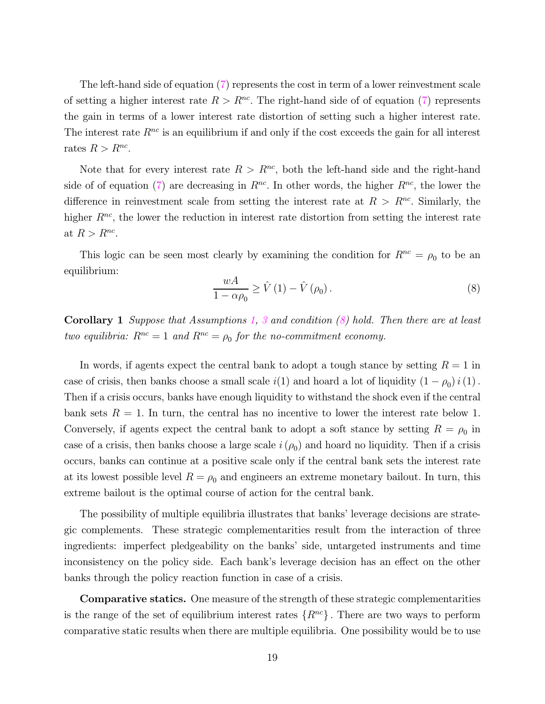The left-hand side of equation (7) represents the cost in term of a lower reinvestment scale of setting a higher interest rate  $R > R^{nc}$ . The right-hand side of of equation (7) represents the gain in terms of a lower interest rate distortion of setting such a higher interest rate. The interest rate  $R^{nc}$  is an equilibrium if and only if the cost exceeds the gain for all interest rates  $R > R^{nc}$ .

Note that for every interest rate  $R > R^{nc}$ , both the left-hand side and the right-hand side of of equation (7) are decreasing in  $R^{nc}$ . In other words, the higher  $R^{nc}$ , the lower the difference in reinvestment scale from setting the interest rate at  $R > R^{nc}$ . Similarly, the higher  $R^{nc}$ , the lower the reduction in interest rate distortion from setting the interest rate at  $R > R^{nc}$ .

This logic can be seen most clearly by examining the condition for  $R^{nc} = \rho_0$  to be an equilibrium:

$$
\frac{wA}{1-\alpha\rho_0} \ge \hat{V}(1) - \hat{V}(\rho_0).
$$
\n(8)

**Corollary 1** Suppose that Assumptions 1, 3 and condition  $(8)$  hold. Then there are at least two equilibria:  $R^{nc} = 1$  and  $R^{nc} = \rho_0$  for the no-commitment economy.

In words, if agents expect the central bank to adopt a tough stance by setting  $R = 1$  in case of crisis, then banks choose a small scale  $i(1)$  and hoard a lot of liquidity  $(1 - \rho_0)i(1)$ . Then if a crisis occurs, banks have enough liquidity to withstand the shock even if the central bank sets  $R = 1$ . In turn, the central has no incentive to lower the interest rate below 1. Conversely, if agents expect the central bank to adopt a soft stance by setting  $R = \rho_0$  in case of a crisis, then banks choose a large scale  $i(\rho_0)$  and hoard no liquidity. Then if a crisis occurs, banks can continue at a positive scale only if the central bank sets the interest rate at its lowest possible level  $R = \rho_0$  and engineers an extreme monetary bailout. In turn, this extreme bailout is the optimal course of action for the central bank.

The possibility of multiple equilibria illustrates that banks' leverage decisions are strategic complements. These strategic complementarities result from the interaction of three ingredients: imperfect pledgeability on the banks' side, untargeted instruments and time inconsistency on the policy side. Each bank's leverage decision has an effect on the other banks through the policy reaction function in case of a crisis.

Comparative statics. One measure of the strength of these strategic complementarities is the range of the set of equilibrium interest rates  $\{R^{nc}\}\$ . There are two ways to perform comparative static results when there are multiple equilibria. One possibility would be to use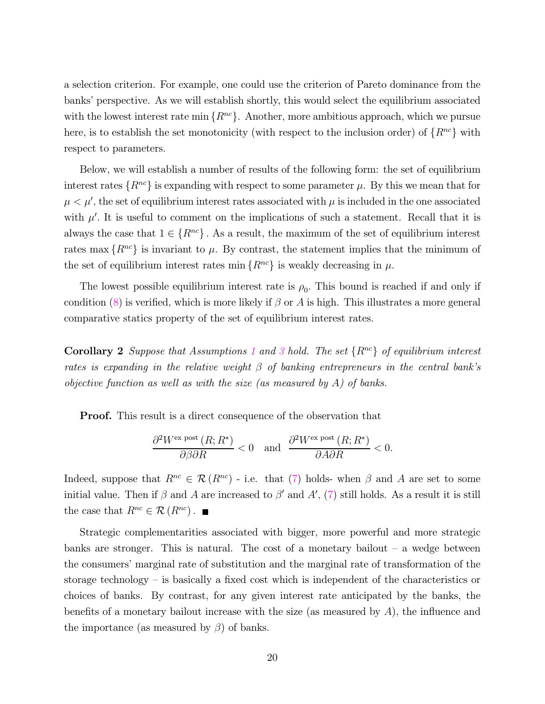a selection criterion. For example, one could use the criterion of Pareto dominance from the banks' perspective. As we will establish shortly, this would select the equilibrium associated with the lowest interest rate min  $\{R^{nc}\}\$ . Another, more ambitious approach, which we pursue here, is to establish the set monotonicity (with respect to the inclusion order) of  $\{R^{nc}\}\$  with respect to parameters.

Below, we will establish a number of results of the following form: the set of equilibrium interest rates  $\{R^{nc}\}\$ is expanding with respect to some parameter  $\mu$ . By this we mean that for  $\mu < \mu'$ , the set of equilibrium interest rates associated with  $\mu$  is included in the one associated with  $\mu'$ . It is useful to comment on the implications of such a statement. Recall that it is always the case that  $1 \in \{R^{nc}\}\.$  As a result, the maximum of the set of equilibrium interest rates max  $\{R^{nc}\}\$ is invariant to  $\mu$ . By contrast, the statement implies that the minimum of the set of equilibrium interest rates min  $\{R^{nc}\}\$ is weakly decreasing in  $\mu$ .

The lowest possible equilibrium interest rate is  $\rho_0$ . This bound is reached if and only if condition (8) is verified, which is more likely if  $\beta$  or A is high. This illustrates a more general comparative statics property of the set of equilibrium interest rates.

**Corollary 2** Suppose that Assumptions 1 and 3 hold. The set  $\{R^{nc}\}\$  of equilibrium interest rates is expanding in the relative weight  $\beta$  of banking entrepreneurs in the central bank's objective function as well as with the size (as measured by  $A$ ) of banks.

**Proof.** This result is a direct consequence of the observation that

$$
\frac{\partial^2 W^{\text{ex post}}\left(R; R^*\right)}{\partial \beta \partial R} < 0 \quad \text{and} \quad \frac{\partial^2 W^{\text{ex post}}\left(R; R^*\right)}{\partial A \partial R} < 0.
$$

Indeed, suppose that  $R^{nc} \in \mathcal{R}(R^{nc})$  - i.e. that (7) holds- when  $\beta$  and A are set to some initial value. Then if  $\beta$  and A are increased to  $\beta'$  and  $A'$ , (7) still holds. As a result it is still the case that  $R^{nc} \in \mathcal{R}(R^{nc})$ .

Strategic complementarities associated with bigger, more powerful and more strategic banks are stronger. This is natural. The cost of a monetary bailout  $-$  a wedge between the consumers' marginal rate of substitution and the marginal rate of transformation of the storage technology — is basically a fixed cost which is independent of the characteristics or choices of banks. By contrast, for any given interest rate anticipated by the banks, the benefits of a monetary bailout increase with the size (as measured by  $A$ ), the influence and the importance (as measured by  $\beta$ ) of banks.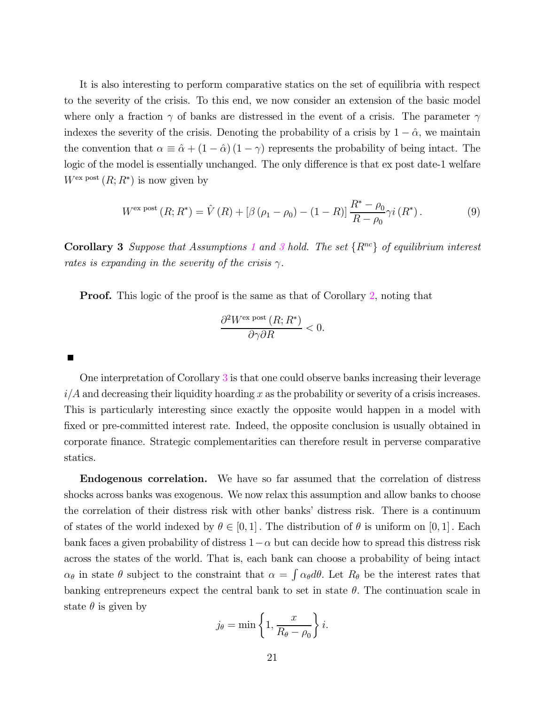It is also interesting to perform comparative statics on the set of equilibria with respect to the severity of the crisis. To this end, we now consider an extension of the basic model where only a fraction  $\gamma$  of banks are distressed in the event of a crisis. The parameter  $\gamma$ indexes the severity of the crisis. Denoting the probability of a crisis by  $1 - \hat{\alpha}$ , we maintain the convention that  $\alpha \equiv \hat{\alpha} + (1 - \hat{\alpha}) (1 - \gamma)$  represents the probability of being intact. The logic of the model is essentially unchanged. The only difference is that ex post date-1 welfare  $W^{\text{ex post}}(R; R^*)$  is now given by

$$
W^{\text{ex post}}\left(R;R^*\right) = \hat{V}\left(R\right) + \left[\beta\left(\rho_1 - \rho_0\right) - (1 - R)\right] \frac{R^* - \rho_0}{R - \rho_0} \gamma i\left(R^*\right). \tag{9}
$$

**Corollary 3** Suppose that Assumptions 1 and 3 hold. The set  $\{R^{nc}\}\$  of equilibrium interest rates is expanding in the severity of the crisis  $\gamma$ .

**Proof.** This logic of the proof is the same as that of Corollary 2, noting that

$$
\frac{\partial^2 W^{\text{ex post}}\left(R; R^*\right)}{\partial \gamma \partial R} < 0.
$$

 $\blacksquare$ 

One interpretation of Corollary 3 is that one could observe banks increasing their leverage  $i/A$  and decreasing their liquidity hoarding x as the probability or severity of a crisis increases. This is particularly interesting since exactly the opposite would happen in a model with fixed or pre-committed interest rate. Indeed, the opposite conclusion is usually obtained in corporate finance. Strategic complementarities can therefore result in perverse comparative statics.

Endogenous correlation. We have so far assumed that the correlation of distress shocks across banks was exogenous. We now relax this assumption and allow banks to choose the correlation of their distress risk with other banks' distress risk. There is a continuum of states of the world indexed by  $\theta \in [0,1]$ . The distribution of  $\theta$  is uniform on  $[0,1]$ . Each bank faces a given probability of distress  $1-\alpha$  but can decide how to spread this distress risk across the states of the world. That is, each bank can choose a probability of being intact  $\alpha_{\theta}$  in state  $\theta$  subject to the constraint that  $\alpha = \int \alpha_{\theta} d\theta$ . Let  $R_{\theta}$  be the interest rates that banking entrepreneurs expect the central bank to set in state  $\theta$ . The continuation scale in state  $\theta$  is given by

$$
j_{\theta} = \min\left\{1, \frac{x}{R_{\theta} - \rho_0}\right\} i.
$$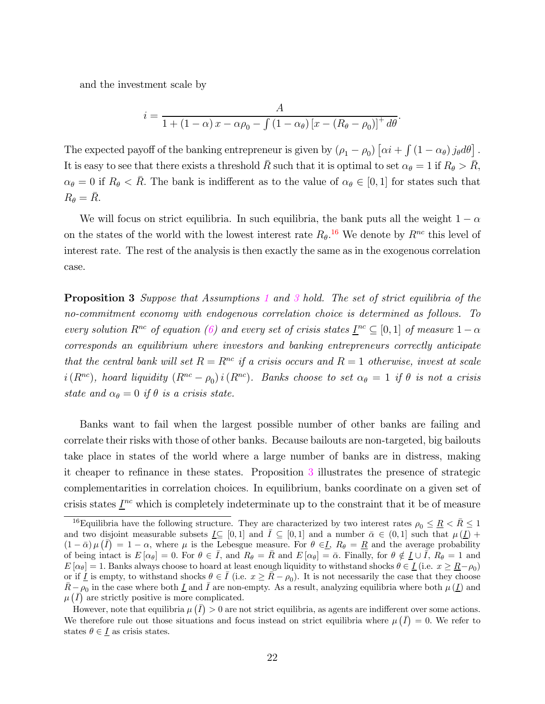and the investment scale by

$$
i = \frac{A}{1 + (1 - \alpha)x - \alpha\rho_0 - \int (1 - \alpha_\theta) \left[x - (R_\theta - \rho_0)\right]^+ d\theta}.
$$

The expected payoff of the banking entrepreneur is given by  $(\rho_1 - \rho_0) [\alpha i + \int (1 - \alpha_{\theta}) j_{\theta} d\theta]$ . It is easy to see that there exists a threshold  $\bar{R}$  such that it is optimal to set  $\alpha_{\theta} = 1$  if  $R_{\theta} > \bar{R}$ ,  $\alpha_{\theta} = 0$  if  $R_{\theta} < \bar{R}$ . The bank is indifferent as to the value of  $\alpha_{\theta} \in [0, 1]$  for states such that  $R_{\theta} = \bar{R}.$ 

We will focus on strict equilibria. In such equilibria, the bank puts all the weight  $1 - \alpha$ on the states of the world with the lowest interest rate  $R_{\theta}$ .<sup>16</sup> We denote by  $R^{nc}$  this level of interest rate. The rest of the analysis is then exactly the same as in the exogenous correlation case.

**Proposition 3** Suppose that Assumptions 1 and 3 hold. The set of strict equilibria of the no-commitment economy with endogenous correlation choice is determined as follows. To every solution  $R^{nc}$  of equation (6) and every set of crisis states  $I^{nc} \subseteq [0,1]$  of measure  $1-\alpha$ corresponds an equilibrium where investors and banking entrepreneurs correctly anticipate that the central bank will set  $R = R^{nc}$  if a crisis occurs and  $R = 1$  otherwise, invest at scale  $i(R^{nc})$ , hoard liquidity  $(R^{nc} - \rho_0)i(R^{nc})$ . Banks choose to set  $\alpha_\theta = 1$  if  $\theta$  is not a crisis state and  $\alpha_{\theta} = 0$  if  $\theta$  is a crisis state.

Banks want to fail when the largest possible number of other banks are failing and correlate their risks with those of other banks. Because bailouts are non-targeted, big bailouts take place in states of the world where a large number of banks are in distress, making it cheaper to refinance in these states. Proposition 3 illustrates the presence of strategic complementarities in correlation choices. In equilibrium, banks coordinate on a given set of crisis states  $\underline{I}^{nc}$  which is completely indeterminate up to the constraint that it be of measure

<sup>&</sup>lt;sup>16</sup>Equilibria have the following structure. They are characterized by two interest rates  $\rho_0 \leq \underline{R} < \overline{R} \leq 1$ and two disjoint measurable subsets  $\underline{I} \subseteq [0,1]$  and  $\overline{I} \subseteq [0,1]$  and a number  $\overline{\alpha} \in (0,1]$  such that  $\mu(\underline{I})$  +  $(1 - \bar{\alpha}) \mu(\bar{I}) = 1 - \alpha$ , where  $\mu$  is the Lebesgue measure. For  $\theta \in I$ ,  $R_{\theta} = \underline{R}$  and the average probability of being intact is  $E[\alpha_{\theta}]=0$ . For  $\theta \in \overline{I}$ , and  $R_{\theta}=\overline{R}$  and  $E[\alpha_{\theta}]=\overline{\alpha}$ . Finally, for  $\theta \notin \underline{I} \cup \overline{I}$ ,  $R_{\theta}=1$  and  $E[\alpha_{\theta}]=1$ . Banks always choose to hoard at least enough liquidity to withstand shocks  $\theta \in \underline{I}$  (i.e.  $x \geq \underline{R}-\rho_0$ ) or if  $\underline{I}$  is empty, to withstand shocks  $\theta \in \overline{I}$  (i.e.  $x \geq \overline{R} - \rho_0$ ). It is not necessarily the case that they choose  $\bar{R} - \rho_0$  in the case where both  $\underline{I}$  and  $\overline{I}$  are non-empty. As a result, analyzing equilibria where both  $\mu(\underline{I})$  and  $\mu(\bar{I})$  are strictly positive is more complicated.

However, note that equilibria  $\mu(\bar{I}) > 0$  are not strict equilibria, as agents are indifferent over some actions. We therefore rule out those situations and focus instead on strict equilibria where  $\mu(\bar{I}) = 0$ . We refer to states  $\theta \in \underline{I}$  as crisis states.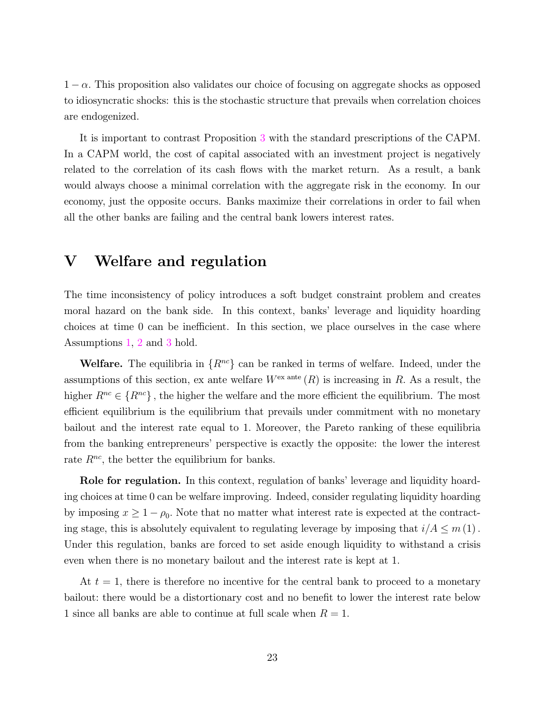$1 - \alpha$ . This proposition also validates our choice of focusing on aggregate shocks as opposed to idiosyncratic shocks: this is the stochastic structure that prevails when correlation choices are endogenized.

It is important to contrast Proposition 3 with the standard prescriptions of the CAPM. In a CAPM world, the cost of capital associated with an investment project is negatively related to the correlation of its cash flows with the market return. As a result, a bank would always choose a minimal correlation with the aggregate risk in the economy. In our economy, just the opposite occurs. Banks maximize their correlations in order to fail when all the other banks are failing and the central bank lowers interest rates.

## V Welfare and regulation

The time inconsistency of policy introduces a soft budget constraint problem and creates moral hazard on the bank side. In this context, banks' leverage and liquidity hoarding choices at time 0 can be inefficient. In this section, we place ourselves in the case where Assumptions 1, 2 and 3 hold.

**Welfare.** The equilibria in  $\{R^{nc}\}\$  can be ranked in terms of welfare. Indeed, under the assumptions of this section, ex ante welfare  $W^{\text{ex ante}}(R)$  is increasing in R. As a result, the higher  $R^{nc} \in \{R^{nc}\}\$ , the higher the welfare and the more efficient the equilibrium. The most efficient equilibrium is the equilibrium that prevails under commitment with no monetary bailout and the interest rate equal to 1 Moreover, the Pareto ranking of these equilibria from the banking entrepreneurs' perspective is exactly the opposite: the lower the interest rate  $R^{nc}$ , the better the equilibrium for banks.

**Role for regulation.** In this context, regulation of banks' leverage and liquidity hoarding choices at time 0 can be welfare improving. Indeed, consider regulating liquidity hoarding by imposing  $x \geq 1 - \rho_0$ . Note that no matter what interest rate is expected at the contracting stage, this is absolutely equivalent to regulating leverage by imposing that  $i/A \leq m(1)$ . Under this regulation, banks are forced to set aside enough liquidity to withstand a crisis even when there is no monetary bailout and the interest rate is kept at 1

At  $t = 1$ , there is therefore no incentive for the central bank to proceed to a monetary bailout: there would be a distortionary cost and no benefit to lower the interest rate below 1 since all banks are able to continue at full scale when  $R = 1$ .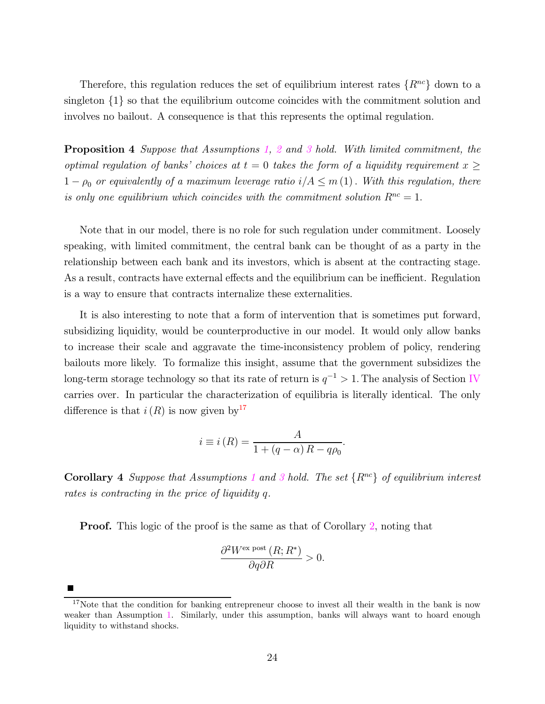Therefore, this regulation reduces the set of equilibrium interest rates  $\{R^{nc}\}\$  down to a singleton  $\{1\}$  so that the equilibrium outcome coincides with the commitment solution and involves no bailout. A consequence is that this represents the optimal regulation.

Proposition 4 Suppose that Assumptions 1, 2 and 3 hold. With limited commitment, the optimal regulation of banks' choices at  $t = 0$  takes the form of a liquidity requirement  $x \geq$  $1 - \rho_0$  or equivalently of a maximum leverage ratio  $i/A \leq m(1)$ . With this regulation, there is only one equilibrium which coincides with the commitment solution  $R^{nc} = 1$ .

Note that in our model, there is no role for such regulation under commitment. Loosely speaking, with limited commitment, the central bank can be thought of as a party in the relationship between each bank and its investors, which is absent at the contracting stage. As a result, contracts have external effects and the equilibrium can be inefficient. Regulation is a way to ensure that contracts internalize these externalities.

It is also interesting to note that a form of intervention that is sometimes put forward, subsidizing liquidity, would be counterproductive in our model. It would only allow banks to increase their scale and aggravate the time-inconsistency problem of policy, rendering bailouts more likely. To formalize this insight, assume that the government subsidizes the long-term storage technology so that its rate of return is  $q^{-1} > 1$ . The analysis of Section IV carries over. In particular the characterization of equilibria is literally identical. The only difference is that  $i(R)$  is now given by<sup>17</sup>

$$
i \equiv i (R) = \frac{A}{1 + (q - \alpha) R - q \rho_0}.
$$

**Corollary 4** Suppose that Assumptions 1 and 3 hold. The set  $\{R^{nc}\}\$  of equilibrium interest rates is contracting in the price of liquidity  $q$ .

**Proof.** This logic of the proof is the same as that of Corollary 2, noting that

$$
\frac{\partial^2 W^{\text{ex post}}(R; R^*)}{\partial q \partial R} > 0.
$$

<sup>&</sup>lt;sup>17</sup>Note that the condition for banking entrepreneur choose to invest all their wealth in the bank is now weaker than Assumption 1. Similarly, under this assumption, banks will always want to hoard enough liquidity to withstand shocks.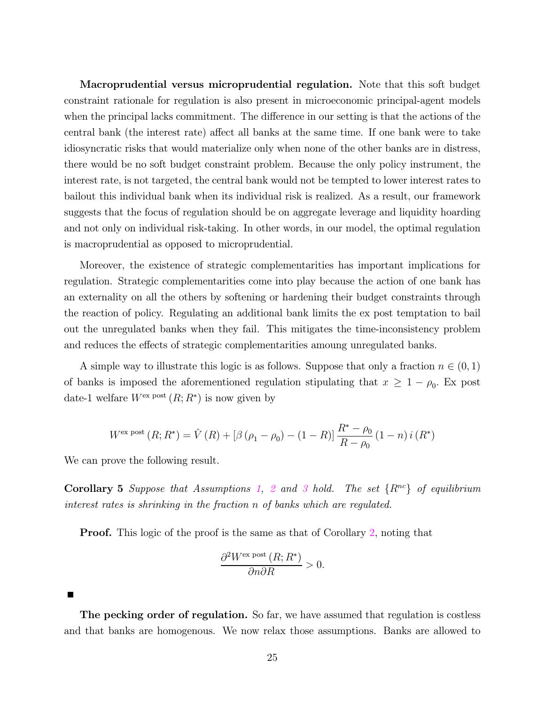Macroprudential versus microprudential regulation. Note that this soft budget constraint rationale for regulation is also present in microeconomic principal-agent models when the principal lacks commitment. The difference in our setting is that the actions of the central bank (the interest rate) affect all banks at the same time. If one bank were to take idiosyncratic risks that would materialize only when none of the other banks are in distress, there would be no soft budget constraint problem. Because the only policy instrument, the interest rate, is not targeted, the central bank would not be tempted to lower interest rates to bailout this individual bank when its individual risk is realized. As a result, our framework suggests that the focus of regulation should be on aggregate leverage and liquidity hoarding and not only on individual risk-taking. In other words, in our model, the optimal regulation is macroprudential as opposed to microprudential.

Moreover, the existence of strategic complementarities has important implications for regulation. Strategic complementarities come into play because the action of one bank has an externality on all the others by softening or hardening their budget constraints through the reaction of policy. Regulating an additional bank limits the ex post temptation to bail out the unregulated banks when they fail. This mitigates the time-inconsistency problem and reduces the effects of strategic complementarities amoung unregulated banks.

A simple way to illustrate this logic is as follows. Suppose that only a fraction  $n \in (0,1)$ of banks is imposed the aforementioned regulation stipulating that  $x \geq 1 - \rho_0$ . Ex post date-1 welfare  $W^{\text{ex post}}(R; R^*)$  is now given by

$$
W^{\text{ex post}}(R; R^*) = \hat{V}(R) + [\beta (\rho_1 - \rho_0) - (1 - R)] \frac{R^* - \rho_0}{R - \rho_0} (1 - n) i (R^*)
$$

We can prove the following result.

**Corollary 5** Suppose that Assumptions 1, 2 and 3 hold. The set  $\{R^{nc}\}\$  of equilibrium interest rates is shrinking in the fraction  $n$  of banks which are regulated.

**Proof.** This logic of the proof is the same as that of Corollary 2, noting that

$$
\frac{\partial^2 W^{\text{ex post}}(R; R^*)}{\partial n \partial R} > 0.
$$

 $\blacksquare$ 

The pecking order of regulation. So far, we have assumed that regulation is costless and that banks are homogenous. We now relax those assumptions. Banks are allowed to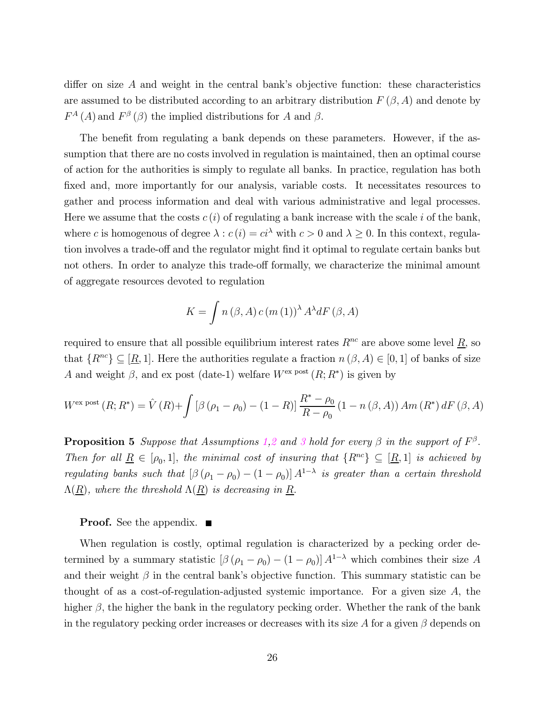differ on size  $A$  and weight in the central bank's objective function: these characteristics are assumed to be distributed according to an arbitrary distribution  $F(\beta, A)$  and denote by  $F^A(A)$  and  $F^{\beta}(\beta)$  the implied distributions for A and  $\beta$ .

The benefit from regulating a bank depends on these parameters. However, if the assumption that there are no costs involved in regulation is maintained, then an optimal course of action for the authorities is simply to regulate all banks. In practice, regulation has both fixed and, more importantly for our analysis, variable costs. It necessitates resources to gather and process information and deal with various administrative and legal processes. Here we assume that the costs  $c(i)$  of regulating a bank increase with the scale i of the bank, where c is homogenous of degree  $\lambda : c(i) = ci^{\lambda}$  with  $c > 0$  and  $\lambda \ge 0$ . In this context, regulation involves a trade-off and the regulator might find it optimal to regulate certain banks but not others. In order to analyze this trade-off formally, we characterize the minimal amount of aggregate resources devoted to regulation

$$
K = \int n(\beta, A) c(m(1))^{\lambda} A^{\lambda} dF(\beta, A)
$$

required to ensure that all possible equilibrium interest rates  $R^{nc}$  are above some level  $R$ , so that  ${R^{nc}} \subseteq [R, 1]$ . Here the authorities regulate a fraction  $n(\beta, A) \in [0, 1]$  of banks of size A and weight  $\beta$ , and ex post (date-1) welfare  $W^{\text{ex post}}(R; R^*)$  is given by

$$
W^{\text{ex post}}(R; R^*) = \hat{V}(R) + \int [\beta (\rho_1 - \rho_0) - (1 - R)] \frac{R^* - \rho_0}{R - \rho_0} (1 - n(\beta, A)) Am (R^*) dF (\beta, A)
$$

**Proposition 5** Suppose that Assumptions 1,2 and 3 hold for every  $\beta$  in the support of  $F^{\beta}$ . Then for all  $\underline{R} \in [\rho_0, 1]$ , the minimal cost of insuring that  $\{R^{nc}\} \subseteq [\underline{R}, 1]$  is achieved by regulating banks such that  $\left[\beta\left(\rho_{1} - \rho_{0}\right) - \left(1 - \rho_{0}\right)\right]A^{1-\lambda}$  is greater than a certain threshold  $\Lambda(\underline{R})$ , where the threshold  $\Lambda(\underline{R})$  is decreasing in  $\underline{R}$ .

#### **Proof.** See the appendix.  $\blacksquare$

When regulation is costly, optimal regulation is characterized by a pecking order determined by a summary statistic  $[\beta (\rho_1 - \rho_0) - (1 - \rho_0)] A^{1-\lambda}$  which combines their size A and their weight  $\beta$  in the central bank's objective function. This summary statistic can be thought of as a cost-of-regulation-adjusted systemic importance. For a given size  $A$ , the higher  $\beta$ , the higher the bank in the regulatory pecking order. Whether the rank of the bank in the regulatory pecking order increases or decreases with its size A for a given  $\beta$  depends on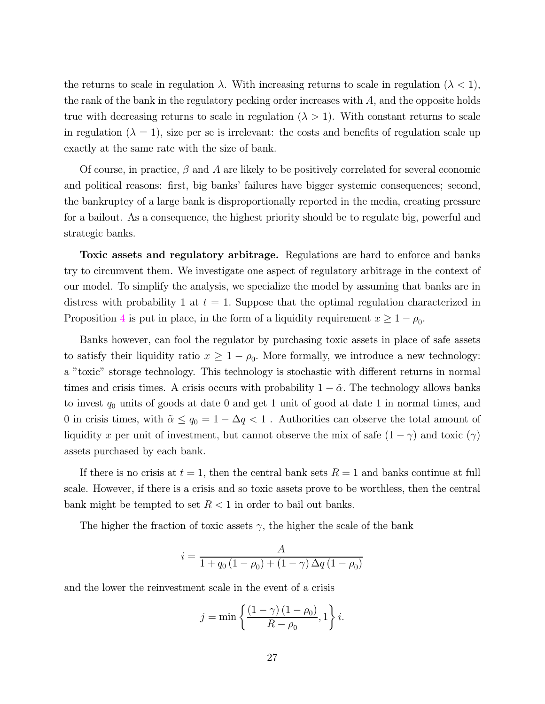the returns to scale in regulation  $\lambda$ . With increasing returns to scale in regulation  $(\lambda < 1)$ , the rank of the bank in the regulatory pecking order increases with  $A$ , and the opposite holds true with decreasing returns to scale in regulation  $(\lambda > 1)$ . With constant returns to scale in regulation ( $\lambda = 1$ ), size per se is irrelevant: the costs and benefits of regulation scale up exactly at the same rate with the size of bank.

Of course, in practice,  $\beta$  and A are likely to be positively correlated for several economic and political reasons: first, big banks' failures have bigger systemic consequences; second, the bankruptcy of a large bank is disproportionally reported in the media, creating pressure for a bailout. As a consequence, the highest priority should be to regulate big, powerful and strategic banks.

Toxic assets and regulatory arbitrage. Regulations are hard to enforce and banks try to circumvent them. We investigate one aspect of regulatory arbitrage in the context of our model. To simplify the analysis, we specialize the model by assuming that banks are in distress with probability 1 at  $t = 1$ . Suppose that the optimal regulation characterized in Proposition 4 is put in place, in the form of a liquidity requirement  $x \geq 1 - \rho_0$ .

Banks however, can fool the regulator by purchasing toxic assets in place of safe assets to satisfy their liquidity ratio  $x \geq 1 - \rho_0$ . More formally, we introduce a new technology: a "toxic" storage technology. This technology is stochastic with different returns in normal times and crisis times. A crisis occurs with probability  $1 - \tilde{\alpha}$ . The technology allows banks to invest  $q_0$  units of goods at date 0 and get 1 unit of good at date 1 in normal times, and 0 in crisis times, with  $\tilde{\alpha} \le q_0 = 1 - \Delta q < 1$ . Authorities can observe the total amount of liquidity x per unit of investment, but cannot observe the mix of safe  $(1 - \gamma)$  and toxic  $(\gamma)$ assets purchased by each bank.

If there is no crisis at  $t = 1$ , then the central bank sets  $R = 1$  and banks continue at full scale. However, if there is a crisis and so toxic assets prove to be worthless, then the central bank might be tempted to set  $R < 1$  in order to bail out banks.

The higher the fraction of toxic assets  $\gamma$ , the higher the scale of the bank

$$
i = \frac{A}{1 + q_0 (1 - \rho_0) + (1 - \gamma) \Delta q (1 - \rho_0)}
$$

and the lower the reinvestment scale in the event of a crisis

$$
j=\min\left\{\frac{\left(1-\gamma\right)\left(1-\rho_{0}\right)}{R-\rho_{0}},1\right\}i.
$$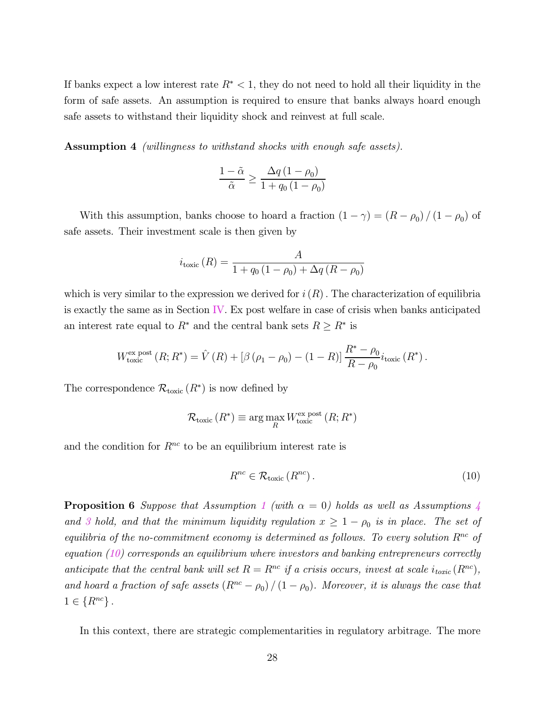If banks expect a low interest rate  $R^*$  < 1, they do not need to hold all their liquidity in the form of safe assets. An assumption is required to ensure that banks always hoard enough safe assets to withstand their liquidity shock and reinvest at full scale.

Assumption 4 (willingness to withstand shocks with enough safe assets).

$$
\frac{1-\tilde{\alpha}}{\tilde{\alpha}} \ge \frac{\Delta q \left(1-\rho_0\right)}{1+q_0 \left(1-\rho_0\right)}
$$

With this assumption, banks choose to hoard a fraction  $(1 - \gamma) = (R - \rho_0) / (1 - \rho_0)$  of safe assets. Their investment scale is then given by

$$
i_{\text{toxic}}\,(R) = \frac{A}{1 + q_0\,(1 - \rho_0) + \Delta q\,(R - \rho_0)}
$$

which is very similar to the expression we derived for  $i(R)$ . The characterization of equilibria is exactly the same as in Section IV. Ex post welfare in case of crisis when banks anticipated an interest rate equal to  $R^*$  and the central bank sets  $R \geq R^*$  is

$$
W_{\text{toxic}}^{\text{ex post}}(R; R^*) = \hat{V}(R) + [\beta (\rho_1 - \rho_0) - (1 - R)] \frac{R^* - \rho_0}{R - \rho_0} i_{\text{toxic}}(R^*).
$$

The correspondence  $\mathcal{R}_{\text{toxic}}(R^*)$  is now defined by

$$
\mathcal{R}_{\text{toxic}}\left(R^*\right) \equiv \arg\max_{R} W_{\text{toxic}}^{\text{ex post}}\left(R; R^*\right)
$$

and the condition for  $R^{nc}$  to be an equilibrium interest rate is

$$
R^{nc} \in \mathcal{R}_{\text{toxic}}\left(R^{nc}\right). \tag{10}
$$

**Proposition 6** Suppose that Assumption 1 (with  $\alpha = 0$ ) holds as well as Assumptions 4 and 3 hold, and that the minimum liquidity regulation  $x \geq 1 - \rho_0$  is in place. The set of equilibria of the no-commitment economy is determined as follows. To every solution  $R^{nc}$  of equation  $(10)$  corresponds an equilibrium where investors and banking entrepreneurs correctly anticipate that the central bank will set  $R = R^{nc}$  if a crisis occurs, invest at scale  $i_{\text{toxic}}(R^{nc})$ , and hoard a fraction of safe assets  $(R^{nc} - \rho_0)/(1 - \rho_0)$ . Moreover, it is always the case that  $1 \in \{R^{nc}\}.$ 

In this context, there are strategic complementarities in regulatory arbitrage. The more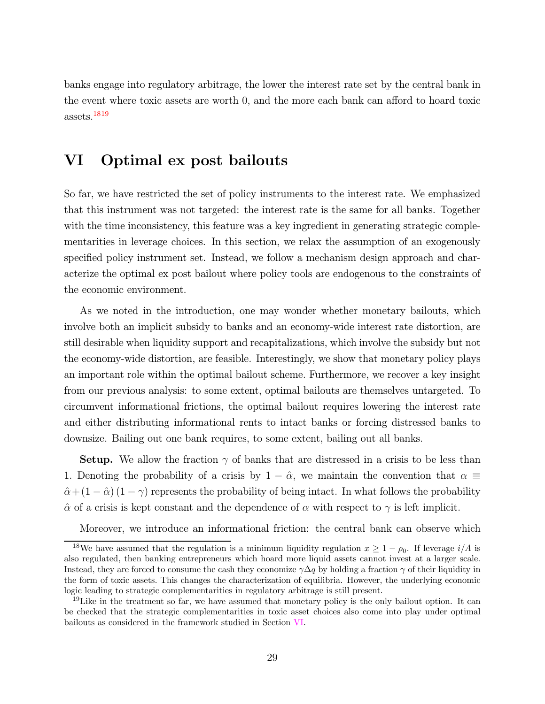banks engage into regulatory arbitrage, the lower the interest rate set by the central bank in the event where toxic assets are worth 0, and the more each bank can afford to hoard toxic assets.<sup>1819</sup>

## VI Optimal ex post bailouts

So far, we have restricted the set of policy instruments to the interest rate. We emphasized that this instrument was not targeted: the interest rate is the same for all banks. Together with the time inconsistency, this feature was a key ingredient in generating strategic complementarities in leverage choices. In this section, we relax the assumption of an exogenously specified policy instrument set. Instead, we follow a mechanism design approach and characterize the optimal ex post bailout where policy tools are endogenous to the constraints of the economic environment.

As we noted in the introduction, one may wonder whether monetary bailouts, which involve both an implicit subsidy to banks and an economy-wide interest rate distortion, are still desirable when liquidity support and recapitalizations, which involve the subsidy but not the economy-wide distortion, are feasible. Interestingly, we show that monetary policy plays an important role within the optimal bailout scheme. Furthermore, we recover a key insight from our previous analysis: to some extent, optimal bailouts are themselves untargeted. To circumvent informational frictions, the optimal bailout requires lowering the interest rate and either distributing informational rents to intact banks or forcing distressed banks to downsize. Bailing out one bank requires, to some extent, bailing out all banks.

**Setup.** We allow the fraction  $\gamma$  of banks that are distressed in a crisis to be less than 1. Denoting the probability of a crisis by  $1 - \hat{\alpha}$ , we maintain the convention that  $\alpha \equiv$  $\hat{\alpha} + (1 - \hat{\alpha}) (1 - \gamma)$  represents the probability of being intact. In what follows the probability  $\hat{\alpha}$  of a crisis is kept constant and the dependence of  $\alpha$  with respect to  $\gamma$  is left implicit.

Moreover, we introduce an informational friction: the central bank can observe which

<sup>&</sup>lt;sup>18</sup>We have assumed that the regulation is a minimum liquidity regulation  $x \ge 1 - \rho_0$ . If leverage  $i/A$  is also regulated, then banking entrepreneurs which hoard more liquid assets cannot invest at a larger scale. Instead, they are forced to consume the cash they economize  $\gamma \Delta q$  by holding a fraction  $\gamma$  of their liquidity in the form of toxic assets This changes the characterization of equilibria. However, the underlying economic logic leading to strategic complementarities in regulatory arbitrage is still present.

<sup>&</sup>lt;sup>19</sup>Like in the treatment so far, we have assumed that monetary policy is the only bailout option. It can be checked that the strategic complementarities in toxic asset choices also come into play under optimal bailouts as considered in the framework studied in Section VI.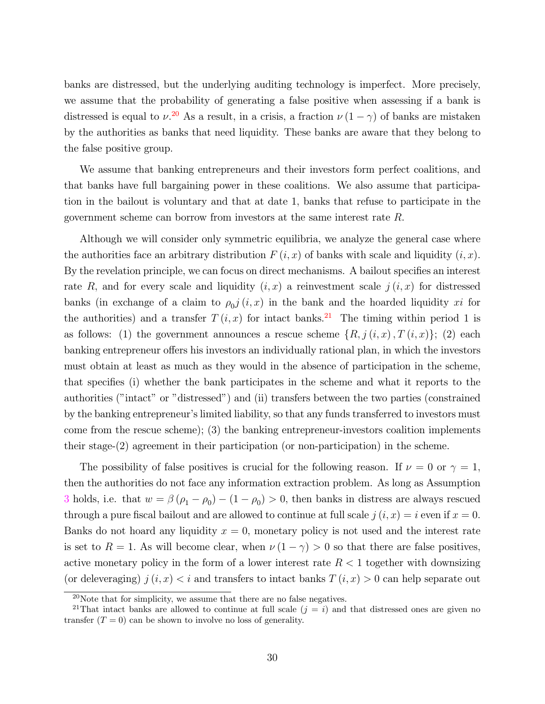banks are distressed, but the underlying auditing technology is imperfect. More precisely, we assume that the probability of generating a false positive when assessing if a bank is distressed is equal to  $\nu^{20}$  As a result, in a crisis, a fraction  $\nu(1 - \gamma)$  of banks are mistaken by the authorities as banks that need liquidity. These banks are aware that they belong to the false positive group.

We assume that banking entrepreneurs and their investors form perfect coalitions, and that banks have full bargaining power in these coalitions. We also assume that participation in the bailout is voluntary and that at date 1, banks that refuse to participate in the government scheme can borrow from investors at the same interest rate  $R$ .

Although we will consider only symmetric equilibria, we analyze the general case where the authorities face an arbitrary distribution  $F(i, x)$  of banks with scale and liquidity  $(i, x)$ . By the revelation principle, we can focus on direct mechanisms. A bailout specifies an interest rate R, and for every scale and liquidity  $(i, x)$  a reinvestment scale  $j(i, x)$  for distressed banks (in exchange of a claim to  $\rho_0 j(i, x)$  in the bank and the hoarded liquidity xi for the authorities) and a transfer  $T(i, x)$  for intact banks.<sup>21</sup> The timing within period 1 is as follows: (1) the government announces a rescue scheme  $\{R, j(i, x), T(i, x)\};$  (2) each banking entrepreneur offers his investors an individually rational plan, in which the investors must obtain at least as much as they would in the absence of participation in the scheme, that specifies (i) whether the bank participates in the scheme and what it reports to the authorities ("intact" or "distressed") and (ii) transfers between the two parties (constrained by the banking entrepreneur's limited liability, so that any funds transferred to investors must come from the rescue scheme); (3) the banking entrepreneur-investors coalition implements their stage-(2) agreement in their participation (or non-participation) in the scheme.

The possibility of false positives is crucial for the following reason. If  $\nu = 0$  or  $\gamma = 1$ , then the authorities do not face any information extraction problem. As long as Assumption 3 holds, i.e. that  $w = \beta (\rho_1 - \rho_0) - (1 - \rho_0) > 0$ , then banks in distress are always rescued through a pure fiscal bailout and are allowed to continue at full scale  $j(i, x) = i$  even if  $x = 0$ . Banks do not hoard any liquidity  $x = 0$ , monetary policy is not used and the interest rate is set to  $R = 1$ . As will become clear, when  $\nu(1 - \gamma) > 0$  so that there are false positives, active monetary policy in the form of a lower interest rate  $R < 1$  together with downsizing (or deleveraging)  $j(i, x) < i$  and transfers to intact banks  $T(i, x) > 0$  can help separate out

 $^{20}$ Note that for simplicity, we assume that there are no false negatives.

<sup>&</sup>lt;sup>21</sup>That intact banks are allowed to continue at full scale  $(j = i)$  and that distressed ones are given no transfer  $(T = 0)$  can be shown to involve no loss of generality.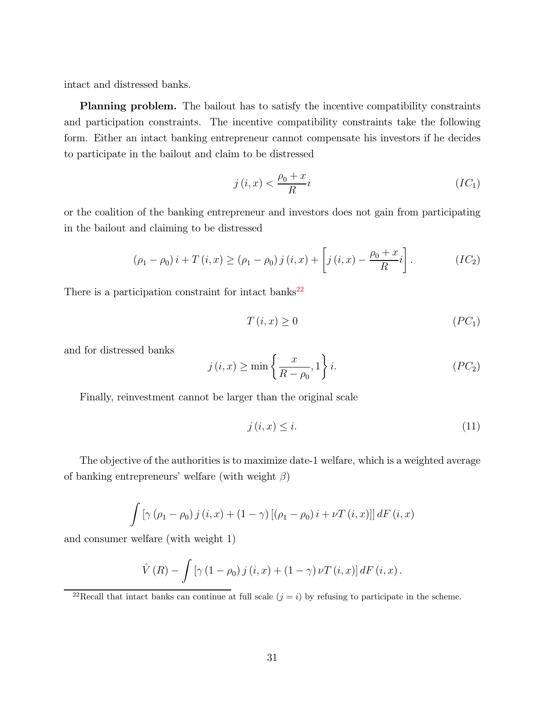intact and distressed banks.

Planning problem. The bailout has to satisfy the incentive compatibility constraints and participation constraints. The incentive compatibility constraints take the following form. Either an intact banking entrepreneur cannot compensate his investors if he decides to participate in the bailout and claim to be distressed

$$
j(i,x) < \frac{\rho_0 + x}{R}i \tag{IC_1}
$$

or the coalition of the banking entrepreneur and investors does not gain from participating in the bailout and claiming to be distressed

$$
(\rho_1 - \rho_0) i + T(i, x) \ge (\rho_1 - \rho_0) j(i, x) + \left[ j(i, x) - \frac{\rho_0 + x}{R} i \right].
$$
 (IC<sub>2</sub>)

There is a participation constraint for intact banks $^{22}$ 

$$
T(i,x) \ge 0 \tag{PC_1}
$$

and for distressed banks

$$
j(i, x) \ge \min\left\{\frac{x}{R - \rho_0}, 1\right\} i. \tag{PC_2}
$$

Finally, reinvestment cannot be larger than the original scale

$$
j(i, x) \le i. \tag{11}
$$

The objective of the authorities is to maximize date-1 welfare, which is a weighted average of banking entrepreneurs' welfare (with weight  $\beta$ )

$$
\int \left[ \gamma (\rho_1 - \rho_0) \, j \, (i, x) + (1 - \gamma) \left[ (\rho_1 - \rho_0) \, i + \nu T \, (i, x) \right] \right] dF \, (i, x)
$$

and consumer welfare (with weight 1)

$$
\hat{V}(R) - \int \left[\gamma\left(1-\rho_0\right)j\left(i,x\right) + \left(1-\gamma\right)\nu T\left(i,x\right)\right]dF\left(i,x\right).
$$

<sup>22</sup>Recall that intact banks can continue at full scale  $(j = i)$  by refusing to participate in the scheme.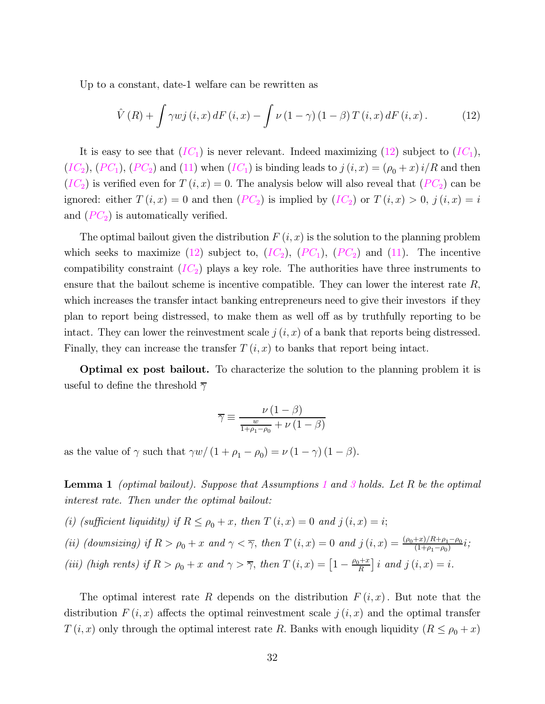Up to a constant, date-1 welfare can be rewritten as

$$
\hat{V}(R) + \int \gamma w j(i, x) dF(i, x) - \int \nu (1 - \gamma) (1 - \beta) T(i, x) dF(i, x).
$$
 (12)

It is easy to see that  $(IC_1)$  is never relevant. Indeed maximizing (12) subject to  $(IC_1)$ ,  $(IC_2)$ ,  $(PC_1)$ ,  $(PC_2)$  and  $(11)$  when  $(IC_1)$  is binding leads to  $j(i, x) = (\rho_0 + x) i/R$  and then  $(IC_2)$  is verified even for  $T(i, x) = 0$ . The analysis below will also reveal that  $(PC_2)$  can be ignored: either  $T(i, x) = 0$  and then  $(PC_2)$  is implied by  $(IC_2)$  or  $T(i, x) > 0$ ,  $j(i, x) = i$ and  $(PC_2)$  is automatically verified.

The optimal bailout given the distribution  $F(i, x)$  is the solution to the planning problem which seeks to maximize (12) subject to,  $(IC_2)$ ,  $(PC_1)$ ,  $(PC_2)$  and (11). The incentive compatibility constraint  $(IC_2)$  plays a key role. The authorities have three instruments to ensure that the bailout scheme is incentive compatible. They can lower the interest rate  $R$ , which increases the transfer intact banking entrepreneurs need to give their investors if they plan to report being distressed, to make them as well off as by truthfully reporting to be intact. They can lower the reinvestment scale  $j(i, x)$  of a bank that reports being distressed. Finally, they can increase the transfer  $T(i, x)$  to banks that report being intact.

Optimal ex post bailout. To characterize the solution to the planning problem it is useful to define the threshold  $\overline{\gamma}$ 

$$
\overline{\gamma} \equiv \frac{\nu (1 - \beta)}{\frac{w}{1 + \rho_1 - \rho_0} + \nu (1 - \beta)}
$$

as the value of  $\gamma$  such that  $\gamma w/(1 + \rho_1 - \rho_0) = \nu (1 - \gamma) (1 - \beta)$ .

**Lemma 1** (optimal bailout). Suppose that Assumptions 1 and 3 holds. Let  $R$  be the optimal interest rate. Then under the optimal bailout:

(i) (sufficient liquidity) if  $R \le \rho_0 + x$ , then  $T(i, x) = 0$  and  $j(i, x) = i$ ;

(ii) (downsizing) if  $R > \rho_0 + x$  and  $\gamma < \overline{\gamma}$ , then  $T(i, x) = 0$  and  $j(i, x) = \frac{(\rho_0 + x)/R + \rho_1 - \rho_0}{(1 + \rho_1 - \rho_0)}i$ ;

(iii) (high rents) if  $R > \rho_0 + x$  and  $\gamma > \overline{\gamma}$ , then  $T(i, x) = \left[1 - \frac{\rho_0 + x}{R}\right] i$  and  $j(i, x) = i$ .

The optimal interest rate R depends on the distribution  $F(i, x)$ . But note that the distribution  $F(i, x)$  affects the optimal reinvestment scale  $j(i, x)$  and the optimal transfer  $T(i, x)$  only through the optimal interest rate R. Banks with enough liquidity  $(R \le \rho_0 + x)$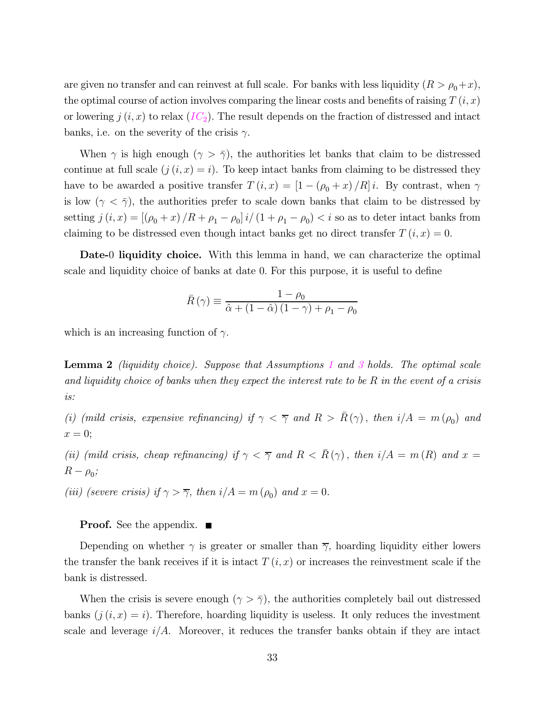are given no transfer and can reinvest at full scale. For banks with less liquidity  $(R > \rho_0 + x)$ , the optimal course of action involves comparing the linear costs and benefits of raising  $T(i, x)$ or lowering  $j(i, x)$  to relax  $(IC_2)$ . The result depends on the fraction of distressed and intact banks, i.e. on the severity of the crisis  $\gamma$ .

When  $\gamma$  is high enough  $(\gamma > \overline{\gamma})$ , the authorities let banks that claim to be distressed continue at full scale  $(j (i, x) = i)$ . To keep intact banks from claiming to be distressed they have to be awarded a positive transfer  $T(i, x) = [1 - (\rho_0 + x) / R]i$ . By contrast, when  $\gamma$ is low  $(\gamma < \overline{\gamma})$ , the authorities prefer to scale down banks that claim to be distressed by setting  $j(i, x) = \left[ (\rho_0 + x) / R + \rho_1 - \rho_0 \right] i / (1 + \rho_1 - \rho_0) < i$  so as to deter intact banks from claiming to be distressed even though intact banks get no direct transfer  $T(i, x) = 0$ .

Date-0 liquidity choice. With this lemma in hand, we can characterize the optimal scale and liquidity choice of banks at date 0. For this purpose, it is useful to define

$$
\bar{R}(\gamma) \equiv \frac{1 - \rho_0}{\hat{\alpha} + (1 - \hat{\alpha})(1 - \gamma) + \rho_1 - \rho_0}
$$

which is an increasing function of  $\gamma$ .

Lemma 2 (liquidity choice). Suppose that Assumptions 1 and 3 holds. The optimal scale and liquidity choice of banks when they expect the interest rate to be  $R$  in the event of a crisis is:

(i) (mild crisis, expensive refinancing) if  $\gamma < \overline{\gamma}$  and  $R > \overline{R}(\gamma)$ , then  $i/A = m(\rho_0)$  and  $x = 0;$ 

(ii) (mild crisis, cheap refinancing) if  $\gamma < \overline{\gamma}$  and  $R < \overline{R}(\gamma)$ , then  $i/A = m(R)$  and  $x =$  $R - \rho_0;$ 

(iii) (severe crisis) if  $\gamma > \overline{\gamma}$ , then  $i/A = m(\rho_0)$  and  $x = 0$ .

**Proof.** See the appendix. ■

Depending on whether  $\gamma$  is greater or smaller than  $\overline{\gamma}$ , hoarding liquidity either lowers the transfer the bank receives if it is intact  $T(i, x)$  or increases the reinvestment scale if the bank is distressed.

When the crisis is severe enough  $(\gamma > \overline{\gamma})$ , the authorities completely bail out distressed banks  $(j (i, x) = i)$ . Therefore, hoarding liquidity is useless. It only reduces the investment scale and leverage  $i/A$ . Moreover, it reduces the transfer banks obtain if they are intact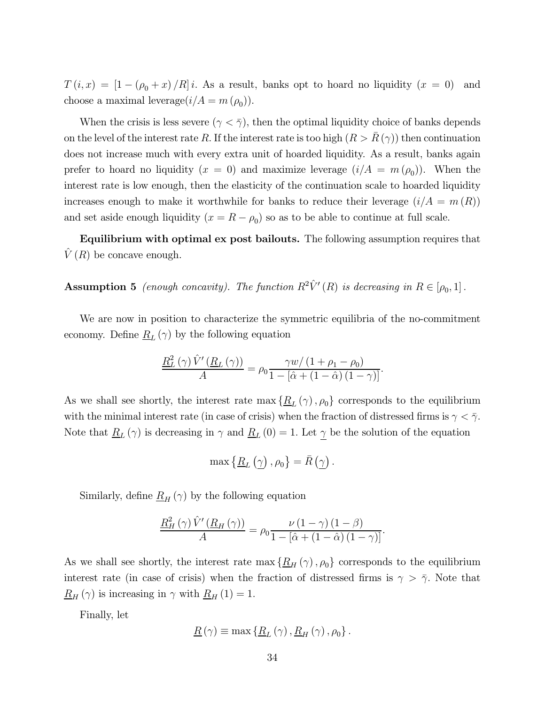$T(i, x) = [1 - (\rho_0 + x) / R]i$ . As a result, banks opt to hoard no liquidity  $(x = 0)$  and choose a maximal leverage( $i/A = m(\rho_0)$ ).

When the crisis is less severe  $(\gamma < \bar{\gamma})$ , then the optimal liquidity choice of banks depends on the level of the interest rate R. If the interest rate is too high  $(R > \overline{R}(\gamma))$  then continuation does not increase much with every extra unit of hoarded liquidity. As a result, banks again prefer to hoard no liquidity  $(x = 0)$  and maximize leverage  $(i/A = m(\rho_0))$ . When the interest rate is low enough, then the elasticity of the continuation scale to hoarded liquidity increases enough to make it worthwhile for banks to reduce their leverage  $(i/A = m(R))$ and set aside enough liquidity  $(x = R - \rho_0)$  so as to be able to continue at full scale.

Equilibrium with optimal ex post bailouts. The following assumption requires that  $\hat{V}(R)$  be concave enough.

**Assumption 5** (enough concavity). The function  $R^2\hat{V}'(R)$  is decreasing in  $R \in [\rho_0, 1]$ .

We are now in position to characterize the symmetric equilibria of the no-commitment economy. Define  $\underline{R}_L(\gamma)$  by the following equation

$$
\frac{R_L^2(\gamma)\hat{V}'(\underline{R}_L(\gamma))}{A} = \rho_0 \frac{\gamma w/(1+\rho_1-\rho_0)}{1 - [\hat{\alpha} + (1-\hat{\alpha})(1-\gamma)]}.
$$

As we shall see shortly, the interest rate max  $\{R_L(\gamma), \rho_0\}$  corresponds to the equilibrium with the minimal interest rate (in case of crisis) when the fraction of distressed firms is  $\gamma < \bar{\gamma}$ . Note that  $\underline{R}_L(\gamma)$  is decreasing in  $\gamma$  and  $\underline{R}_L(0) = 1$ . Let  $\underline{\gamma}$  be the solution of the equation

$$
\max\left\{\underline{R}_L\left(\underline{\gamma}\right),\rho_0\right\}=\bar{R}\left(\underline{\gamma}\right).
$$

Similarly, define  $\underline{R}_{H}(\gamma)$  by the following equation

$$
\frac{R_H^2(\gamma)\hat{V}'(R_H(\gamma))}{A} = \rho_0 \frac{\nu(1-\gamma)(1-\beta)}{1 - [\hat{\alpha} + (1-\hat{\alpha})(1-\gamma)]}.
$$

As we shall see shortly, the interest rate max  $\{R_H(\gamma), \rho_0\}$  corresponds to the equilibrium interest rate (in case of crisis) when the fraction of distressed firms is  $\gamma > \bar{\gamma}$ . Note that  $\underline{R}_H(\gamma)$  is increasing in  $\gamma$  with  $\underline{R}_H(1) = 1$ .

Finally, let

$$
\underline{R}(\gamma) \equiv \max \{ \underline{R}_L(\gamma), \underline{R}_H(\gamma), \rho_0 \}.
$$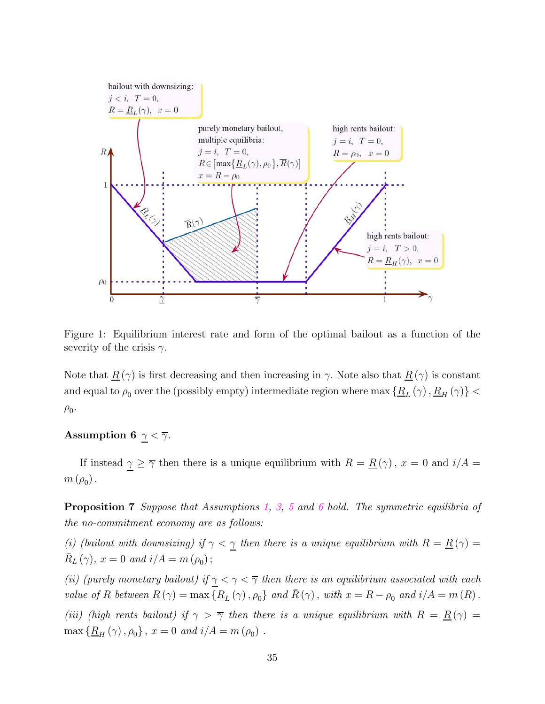

Figure 1: Equilibrium interest rate and form of the optimal bailout as a function of the severity of the crisis  $\gamma$ .

Note that  $\underline{R}(\gamma)$  is first decreasing and then increasing in  $\gamma$ . Note also that  $\underline{R}(\gamma)$  is constant and equal to  $\rho_0$  over the (possibly empty) intermediate region where max  $\{R_L(\gamma), R_H(\gamma)\}$  $\rho_0$ .

#### Assumption 6  $\gamma < \overline{\gamma}$ .

If instead  $\underline{\gamma} \geq \overline{\gamma}$  then there is a unique equilibrium with  $R = \underline{R}(\gamma)$ ,  $x = 0$  and  $i/A =$  $m(\rho_0)$ .

**Proposition 7** Suppose that Assumptions 1, 3, 5 and 6 hold. The symmetric equilibria of the no-commitment economy are as follows:

(i) (bailout with downsizing) if  $\gamma < \gamma$  then there is a unique equilibrium with  $R = \underline{R}(\gamma) =$  $\bar{R}_{L}(\gamma)$ ,  $x = 0$  and  $i/A = m(\rho_0)$ ;

(ii) (purely monetary bailout) if  $\gamma < \gamma < \overline{\gamma}$  then there is an equilibrium associated with each value of  $R$  between  $\underline{R}(\gamma) = \max \{ \underline{R}_L(\gamma), \rho_0 \}$  and  $\overline{R}(\gamma)$ , with  $x = R - \rho_0$  and  $i/A = m(R)$ . (iii) (high rents bailout) if  $\gamma > \overline{\gamma}$  then there is a unique equilibrium with  $R = \underline{R}(\gamma) =$  $\max \{ \underline{R}_{H} (\gamma) , \rho_0 \}, x = 0 \text{ and } i/A = m (\rho_0) .$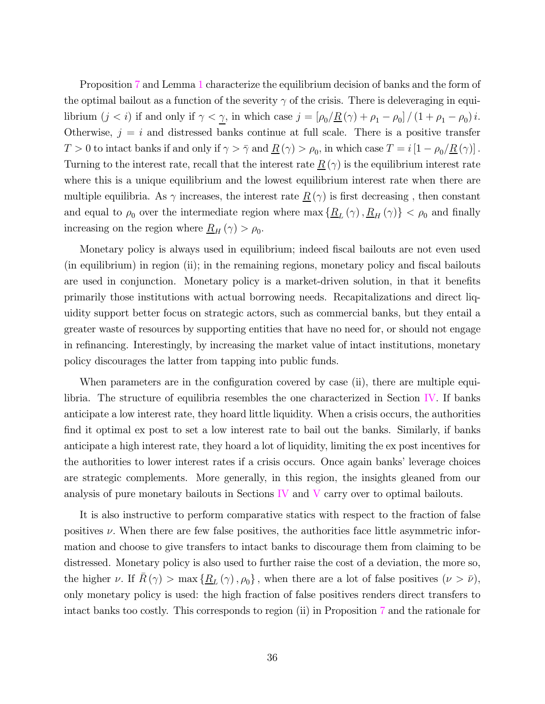Proposition 7 and Lemma 1 characterize the equilibrium decision of banks and the form of the optimal bailout as a function of the severity  $\gamma$  of the crisis. There is deleveraging in equilibrium  $(j < i)$  if and only if  $\gamma < \gamma$ , in which case  $j = [\rho_0 / \underline{R}(\gamma) + \rho_1 - \rho_0] / (1 + \rho_1 - \rho_0) i$ . Otherwise,  $j = i$  and distressed banks continue at full scale. There is a positive transfer  $T > 0$  to intact banks if and only if  $\gamma > \bar{\gamma}$  and  $\underline{R}(\gamma) > \rho_0$ , in which case  $T = i [1 - \rho_0 / \underline{R}(\gamma)]$ . Turning to the interest rate, recall that the interest rate  $\underline{R}(\gamma)$  is the equilibrium interest rate where this is a unique equilibrium and the lowest equilibrium interest rate when there are multiple equilibria. As  $\gamma$  increases, the interest rate  $\underline{R}(\gamma)$  is first decreasing, then constant and equal to  $\rho_0$  over the intermediate region where  $\max\left\{\underline{R}_L(\gamma), \underline{R}_H(\gamma)\right\} < \rho_0$  and finally increasing on the region where  $\underline{R}_H(\gamma) > \rho_0$ .

Monetary policy is always used in equilibrium; indeed fiscal bailouts are not even used (in equilibrium) in region (ii); in the remaining regions, monetary policy and fiscal bailouts are used in conjunction. Monetary policy is a market-driven solution, in that it benefits primarily those institutions with actual borrowing needs. Recapitalizations and direct liquidity support better focus on strategic actors, such as commercial banks, but they entail a greater waste of resources by supporting entities that have no need for, or should not engage in refinancing. Interestingly, by increasing the market value of intact institutions, monetary policy discourages the latter from tapping into public funds.

When parameters are in the configuration covered by case (ii), there are multiple equilibria. The structure of equilibria resembles the one characterized in Section IV. If banks anticipate a low interest rate, they hoard little liquidity. When a crisis occurs, the authorities find it optimal ex post to set a low interest rate to bail out the banks. Similarly, if banks anticipate a high interest rate, they hoard a lot of liquidity, limiting the ex post incentives for the authorities to lower interest rates if a crisis occurs. Once again banks' leverage choices are strategic complements. More generally, in this region, the insights gleaned from our analysis of pure monetary bailouts in Sections IV and V carry over to optimal bailouts.

It is also instructive to perform comparative statics with respect to the fraction of false positives  $\nu$ . When there are few false positives, the authorities face little asymmetric information and choose to give transfers to intact banks to discourage them from claiming to be distressed. Monetary policy is also used to further raise the cost of a deviation, the more so, the higher  $\nu$ . If  $\bar{R}(\gamma) > \max\{\underline{R}_L(\gamma), \rho_0\}$ , when there are a lot of false positives  $(\nu > \bar{\nu})$ , only monetary policy is used: the high fraction of false positives renders direct transfers to intact banks too costly. This corresponds to region (ii) in Proposition 7 and the rationale for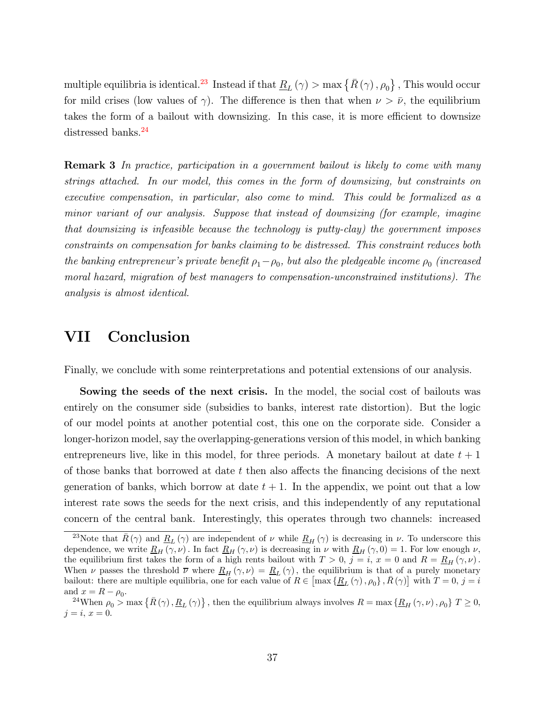multiple equilibria is identical.<sup>23</sup> Instead if that  $\underline{R}_L(\gamma) > \max\left\{\bar{R}(\gamma), \rho_0\right\}$ , This would occur for mild crises (low values of  $\gamma$ ). The difference is then that when  $\nu > \bar{\nu}$ , the equilibrium takes the form of a bailout with downsizing. In this case, it is more efficient to downsize distressed banks.<sup>24</sup>

**Remark 3** In practice, participation in a government bailout is likely to come with many strings attached. In our model, this comes in the form of downsizing, but constraints on executive compensation, in particular, also come to mind. This could be formalized as a minor variant of our analysis. Suppose that instead of downsizing (for example, imagine that downsizing is infeasible because the technology is putty-clay) the government imposes constraints on compensation for banks claiming to be distressed. This constraint reduces both the banking entrepreneur's private benefit  $\rho_1-\rho_0$ , but also the pledgeable income  $\rho_0$  (increased moral hazard, migration of best managers to compensation-unconstrained institutions). The analysis is almost identical.

## VII Conclusion

Finally, we conclude with some reinterpretations and potential extensions of our analysis.

Sowing the seeds of the next crisis. In the model, the social cost of bailouts was entirely on the consumer side (subsidies to banks, interest rate distortion). But the logic of our model points at another potential cost, this one on the corporate side. Consider a longer-horizon model, say the overlapping-generations version of this model, in which banking entrepreneurs live, like in this model, for three periods. A monetary bailout at date  $t + 1$ of those banks that borrowed at date  $t$  then also affects the financing decisions of the next generation of banks, which borrow at date  $t + 1$ . In the appendix, we point out that a low interest rate sows the seeds for the next crisis, and this independently of any reputational concern of the central bank. Interestingly, this operates through two channels: increased

<sup>&</sup>lt;sup>23</sup>Note that  $\bar{R}(\gamma)$  and  $\underline{R}_L(\gamma)$  are independent of  $\nu$  while  $\underline{R}_H(\gamma)$  is decreasing in  $\nu$ . To underscore this dependence, we write  $\underline{R}_{H}(\gamma,\nu)$ . In fact  $\underline{R}_{H}(\gamma,\nu)$  is decreasing in  $\nu$  with  $\underline{R}_{H}(\gamma,0) = 1$ . For low enough  $\nu$ , the equilibrium first takes the form of a high rents bailout with  $T > 0$ ,  $j = i$ ,  $x = 0$  and  $R = \underline{R}_H(\gamma, \nu)$ . When  $\nu$  passes the threshold  $\overline{\nu}$  where  $\underline{R}_{H}(\gamma,\nu) = \underline{R}_{L}(\gamma)$ , the equilibrium is that of a purely monetary bailout: there are multiple equilibria, one for each value of  $R \in [\max{\{\underline{R}_L(\gamma), \rho_0\}}, \overline{R}(\gamma)]$  with  $T = 0, j = i$ 

and  $x = R - \rho_0$ .<br><sup>24</sup>When  $\rho_0 > \max \{ \bar{R}(\gamma), \underline{R}_L(\gamma) \}$ , then the equilibrium always involves  $R = \max \{ \underline{R}_H(\gamma, \nu), \rho_0 \}$   $T \ge 0$ ,  $j = i, x = 0.$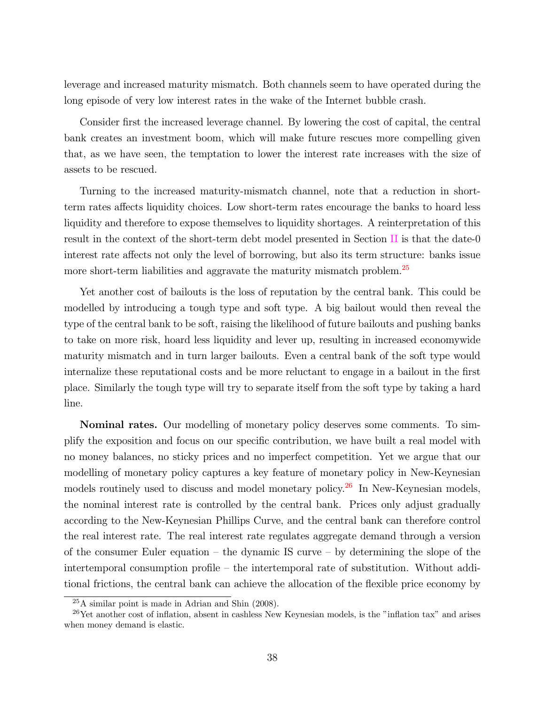leverage and increased maturity mismatch. Both channels seem to have operated during the long episode of very low interest rates in the wake of the Internet bubble crash.

Consider first the increased leverage channel. By lowering the cost of capital, the central bank creates an investment boom, which will make future rescues more compelling given that, as we have seen, the temptation to lower the interest rate increases with the size of assets to be rescued.

Turning to the increased maturity-mismatch channel, note that a reduction in shortterm rates affects liquidity choices. Low short-term rates encourage the banks to hoard less liquidity and therefore to expose themselves to liquidity shortages. A reinterpretation of this result in the context of the short-term debt model presented in Section II is that the date-0 interest rate affects not only the level of borrowing, but also its term structure: banks issue more short-term liabilities and aggravate the maturity mismatch problem.<sup>25</sup>

Yet another cost of bailouts is the loss of reputation by the central bank. This could be modelled by introducing a tough type and soft type. A big bailout would then reveal the type of the central bank to be soft, raising the likelihood of future bailouts and pushing banks to take on more risk, hoard less liquidity and lever up, resulting in increased economywide maturity mismatch and in turn larger bailouts. Even a central bank of the soft type would internalize these reputational costs and be more reluctant to engage in a bailout in the first place. Similarly the tough type will try to separate itself from the soft type by taking a hard line.

Nominal rates. Our modelling of monetary policy deserves some comments. To simplify the exposition and focus on our specific contribution, we have built a real model with no money balances, no sticky prices and no imperfect competition. Yet we argue that our modelling of monetary policy captures a key feature of monetary policy in New-Keynesian models routinely used to discuss and model monetary policy.<sup>26</sup> In New-Keynesian models, the nominal interest rate is controlled by the central bank. Prices only adjust gradually according to the New-Keynesian Phillips Curve, and the central bank can therefore control the real interest rate. The real interest rate regulates aggregate demand through a version of the consumer Euler equation – the dynamic IS curve – by determining the slope of the intertemporal consumption profile — the intertemporal rate of substitution. Without additional frictions, the central bank can achieve the allocation of the flexible price economy by

<sup>25</sup>A similar point is made in Adrian and Shin (2008).

 $26$ Yet another cost of inflation, absent in cashless New Keynesian models, is the "inflation tax" and arises when money demand is elastic.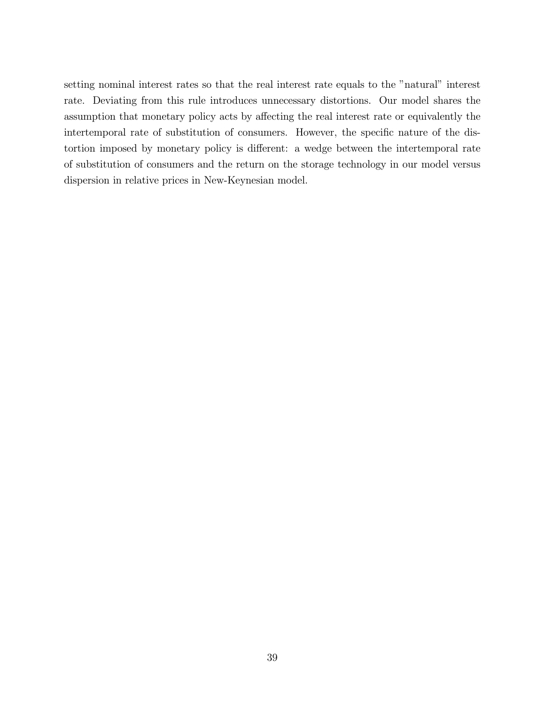setting nominal interest rates so that the real interest rate equals to the "natural" interest rate. Deviating from this rule introduces unnecessary distortions. Our model shares the assumption that monetary policy acts by affecting the real interest rate or equivalently the intertemporal rate of substitution of consumers. However, the specific nature of the distortion imposed by monetary policy is different: a wedge between the intertemporal rate of substitution of consumers and the return on the storage technology in our model versus dispersion in relative prices in New-Keynesian model.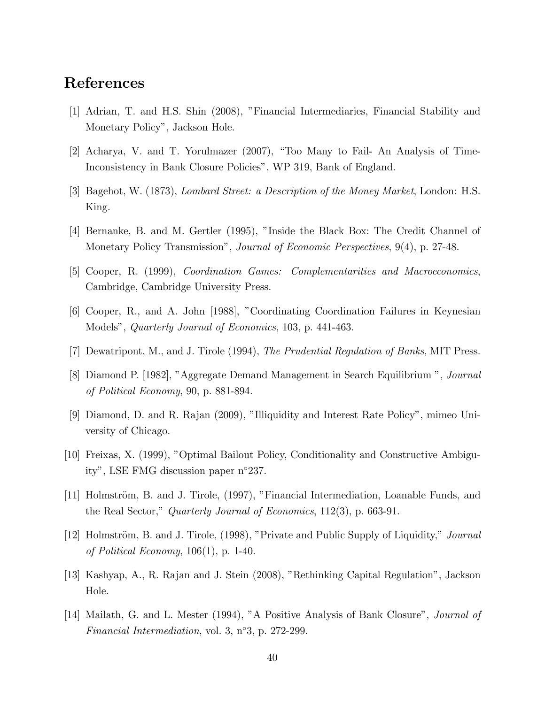## References

- [1] Adrian, T. and H.S. Shin (2008), "Financial Intermediaries, Financial Stability and Monetary Policy", Jackson Hole.
- [2] Acharya, V. and T. Yorulmazer (2007), "Too Many to Fail- An Analysis of Time-Inconsistency in Bank Closure Policies", WP 319, Bank of England.
- [3] Bagehot, W. (1873), Lombard Street: a Description of the Money Market, London: H.S. King.
- [4] Bernanke, B. and M. Gertler (1995), "Inside the Black Box: The Credit Channel of Monetary Policy Transmission", Journal of Economic Perspectives, 9(4), p. 27-48.
- [5] Cooper, R. (1999), Coordination Games: Complementarities and Macroeconomics, Cambridge, Cambridge University Press.
- [6] Cooper, R., and A. John [1988], "Coordinating Coordination Failures in Keynesian Models", Quarterly Journal of Economics, 103, p. 441-463.
- [7] Dewatripont, M., and J. Tirole (1994), The Prudential Regulation of Banks, MIT Press.
- [8] Diamond P. [1982], "Aggregate Demand Management in Search Equilibrium ", Journal of Political Economy, 90, p. 881-894.
- [9] Diamond, D. and R. Rajan (2009), "Illiquidity and Interest Rate Policy", mimeo University of Chicago.
- [10] Freixas, X. (1999), "Optimal Bailout Policy, Conditionality and Constructive Ambiguity", LSE FMG discussion paper n◦237.
- [11] Holmström, B. and J. Tirole, (1997), "Financial Intermediation, Loanable Funds, and the Real Sector," Quarterly Journal of Economics, 112(3), p. 663-91.
- [12] Holmström, B. and J. Tirole, (1998), "Private and Public Supply of Liquidity," *Journal* of Political Economy, 106(1), p. 1-40.
- [13] Kashyap, A., R. Rajan and J. Stein (2008), "Rethinking Capital Regulation", Jackson Hole.
- [14] Mailath, G. and L. Mester (1994), "A Positive Analysis of Bank Closure", Journal of Financial Intermediation, vol. 3, n◦3, p. 272-299.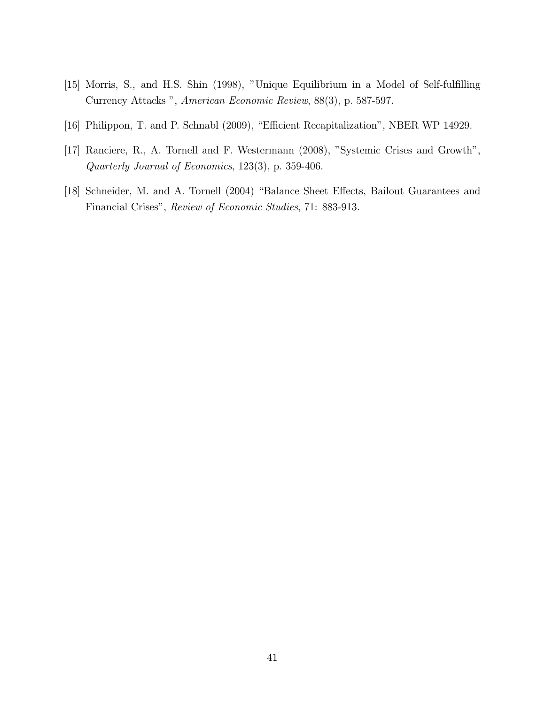- [15] Morris, S., and H.S. Shin (1998), "Unique Equilibrium in a Model of Self-fulfilling Currency Attacks ", American Economic Review, 88(3), p. 587-597.
- [16] Philippon, T. and P. Schnabl (2009), "Efficient Recapitalization", NBER WP 14929.
- [17] Ranciere, R., A. Tornell and F. Westermann (2008), "Systemic Crises and Growth", Quarterly Journal of Economics, 123(3), p. 359-406.
- [18] Schneider, M. and A. Tornell (2004) "Balance Sheet Effects, Bailout Guarantees and Financial Crises", Review of Economic Studies, 71: 883-913.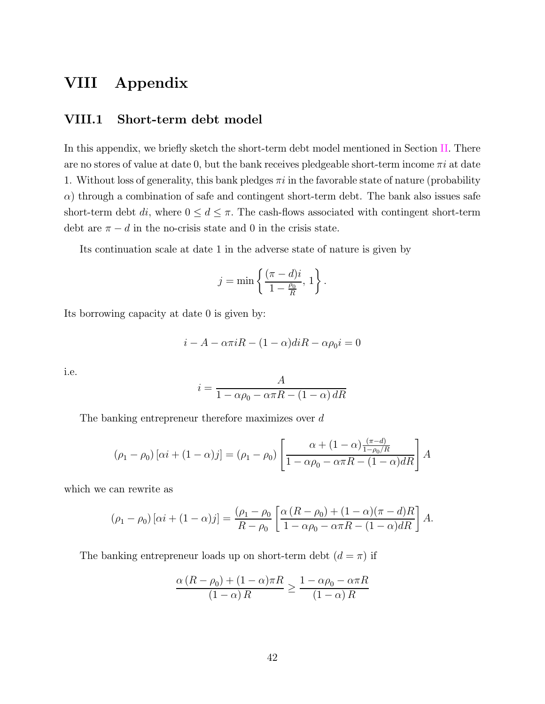# VIII Appendix

#### VIII.1 Short-term debt model

In this appendix, we briefly sketch the short-term debt model mentioned in Section II. There are no stores of value at date 0, but the bank receives pledgeable short-term income  $\pi i$  at date 1. Without loss of generality, this bank pledges  $\pi i$  in the favorable state of nature (probability  $\alpha$ ) through a combination of safe and contingent short-term debt. The bank also issues safe short-term debt di, where  $0 \leq d \leq \pi$ . The cash-flows associated with contingent short-term debt are  $\pi - d$  in the no-crisis state and 0 in the crisis state.

Its continuation scale at date 1 in the adverse state of nature is given by

$$
j = \min\left\{\frac{(\pi - d)i}{1 - \frac{\rho_0}{R}}, 1\right\}.
$$

Its borrowing capacity at date 0 is given by:

$$
i - A - \alpha \pi i R - (1 - \alpha) diR - \alpha \rho_0 i = 0
$$

i.e.

$$
i = \frac{A}{1 - \alpha \rho_0 - \alpha \pi R - (1 - \alpha) dR}
$$

The banking entrepreneur therefore maximizes over  $d$ 

$$
\left(\rho_1-\rho_0\right)\left[\alpha i+(1-\alpha)j\right]=\left(\rho_1-\rho_0\right)\left[\frac{\alpha+(1-\alpha)\frac{(\pi-d)}{1-\rho_0/R}}{1-\alpha\rho_0-\alpha\pi R-(1-\alpha)dR}\right]A
$$

which we can rewrite as

$$
(\rho_1 - \rho_0) [\alpha i + (1 - \alpha) j] = \frac{(\rho_1 - \rho_0)}{R - \rho_0} \left[ \frac{\alpha (R - \rho_0) + (1 - \alpha)(\pi - d)R}{1 - \alpha \rho_0 - \alpha \pi R - (1 - \alpha) dR} \right] A.
$$

The banking entrepreneur loads up on short-term debt  $(d = \pi)$  if

$$
\frac{\alpha (R - \rho_0) + (1 - \alpha)\pi R}{(1 - \alpha)R} \ge \frac{1 - \alpha\rho_0 - \alpha\pi R}{(1 - \alpha)R}
$$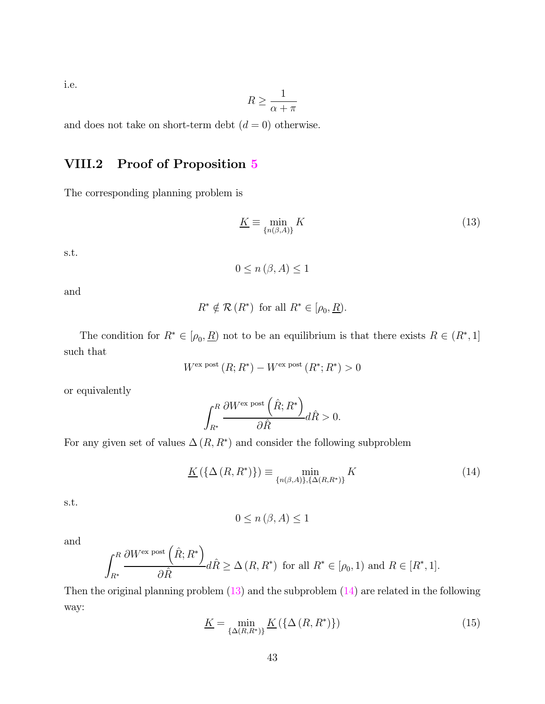i.e.

$$
R\geq \frac{1}{\alpha+\pi}
$$

and does not take on short-term debt  $(d = 0)$  otherwise.

## VIII.2 Proof of Proposition 5

The corresponding planning problem is

$$
\underline{K} \equiv \min_{\{n(\beta, A)\}} K \tag{13}
$$

s.t.

$$
0 \le n \left( \beta, A \right) \le 1
$$

and

$$
R^* \notin \mathcal{R}(R^*) \text{ for all } R^* \in [\rho_0, \underline{R}).
$$

The condition for  $R^* \in [\rho_0, \underline{R})$  not to be an equilibrium is that there exists  $R \in (R^*, 1]$ such that

$$
W^{\text{ex post}}\left(R;R^*\right) - W^{\text{ex post}}\left(R^*;R^*\right) > 0
$$

or equivalently

$$
\int_{R^*}^R \frac{\partial W^{\rm ex~post} \left( \hat{R};R^* \right)}{\partial \hat{R}} d\hat{R} > 0.
$$

For any given set of values  $\Delta(R, R^*)$  and consider the following subproblem

$$
\underline{K}\left(\{\Delta\left(R,R^*\right)\}\right) \equiv \min_{\{n(\beta,A)\},\{\Delta\left(R,R^*\right)\}} K\tag{14}
$$

s.t.

$$
0 \le n \left( \beta, A \right) \le 1
$$

and

$$
\int_{R^*}^R \frac{\partial W^{\text{ex post}}\left(\hat{R};R^*\right)}{\partial \hat{R}} d\hat{R} \ge \Delta\left(R,R^*\right) \text{ for all } R^* \in [\rho_0,1) \text{ and } R \in [R^*,1].
$$

Then the original planning problem (13) and the subproblem (14) are related in the following way:

$$
\underline{K} = \min_{\{\Delta(R,R^*)\}} \underline{K}\left(\{\Delta(R,R^*)\}\right) \tag{15}
$$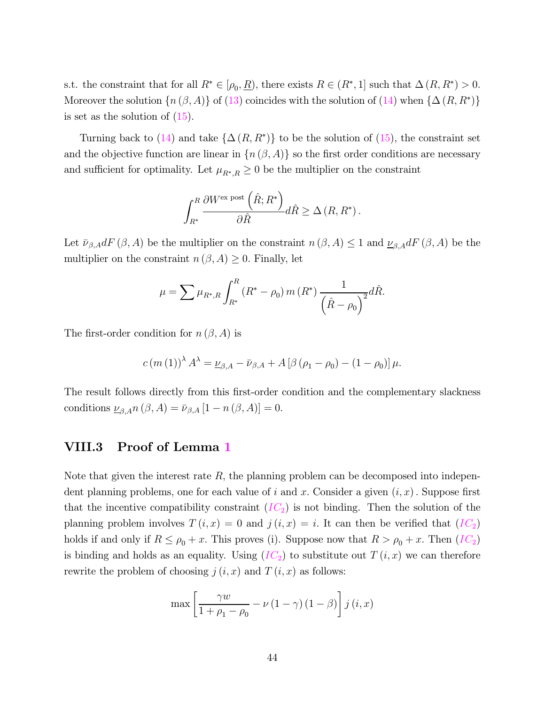s.t. the constraint that for all  $R^* \in [\rho_0, \underline{R})$ , there exists  $R \in (R^*, 1]$  such that  $\Delta(R, R^*) > 0$ . Moreover the solution  $\{n(\beta, A)\}\$  of (13) coincides with the solution of (14) when  $\{\Delta(R, R^*)\}$ is set as the solution of (15).

Turning back to (14) and take  $\{\Delta(R, R^*)\}$  to be the solution of (15), the constraint set and the objective function are linear in  $\{n(\beta, A)\}\$  so the first order conditions are necessary and sufficient for optimality. Let  $\mu_{R^*,R} \geq 0$  be the multiplier on the constraint

$$
\int_{R^*}^R \frac{\partial W^{\text{ex post}}\left(\hat{R}; R^*\right)}{\partial \hat{R}} d\hat{R} \ge \Delta\left(R, R^*\right).
$$

Let  $\bar{\nu}_{\beta,A}dF(\beta,A)$  be the multiplier on the constraint  $n(\beta,A) \leq 1$  and  $\nu_{\beta,A}dF(\beta,A)$  be the multiplier on the constraint  $n(\beta, A) \geq 0$ . Finally, let

$$
\mu = \sum \mu_{R^*,R} \int_{R^*}^R (R^* - \rho_0) m(R^*) \frac{1}{(\hat{R} - \rho_0)^2} d\hat{R}.
$$

The first-order condition for  $n(\beta, A)$  is

$$
c(m (1))^{\lambda} A^{\lambda} = \underline{\nu}_{\beta, A} - \bar{\nu}_{\beta, A} + A [\beta (\rho_1 - \rho_0) - (1 - \rho_0)] \mu.
$$

The result follows directly from this first-order condition and the complementary slackness conditions  $\underline{\nu}_{\beta,A} n(\beta,A) = \overline{\nu}_{\beta,A} [1 - n(\beta,A)] = 0.$ 

## VIII.3 Proof of Lemma 1

Note that given the interest rate  $R$ , the planning problem can be decomposed into independent planning problems, one for each value of  $i$  and  $x$ . Consider a given  $(i, x)$ . Suppose first that the incentive compatibility constraint  $(IC_2)$  is not binding. Then the solution of the planning problem involves  $T(i, x) = 0$  and  $j(i, x) = i$ . It can then be verified that  $(IC_2)$ holds if and only if  $R \le \rho_0 + x$ . This proves (i). Suppose now that  $R > \rho_0 + x$ . Then  $(IC_2)$ is binding and holds as an equality. Using  $(IC_2)$  to substitute out  $T(i, x)$  we can therefore rewrite the problem of choosing  $j(i, x)$  and  $T(i, x)$  as follows:

$$
\max\left[\frac{\gamma w}{1+\rho_1-\rho_0}-\nu\left(1-\gamma\right)\left(1-\beta\right)\right]j\left(i,x\right)
$$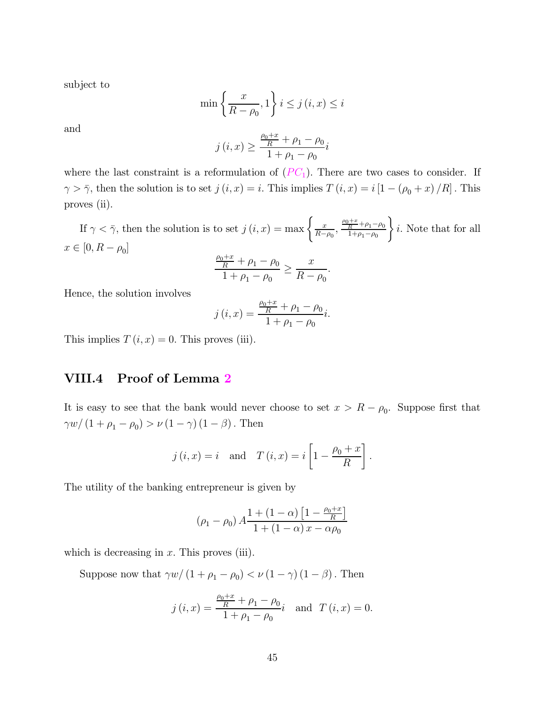subject to

$$
\min\left\{\frac{x}{R-\rho_0},1\right\}i\leq j\left(i,x\right)\leq i
$$

and

$$
j(i,x) \ge \frac{\frac{\rho_0 + x}{R} + \rho_1 - \rho_0}{1 + \rho_1 - \rho_0}i
$$

where the last constraint is a reformulation of  $(PC_1)$ . There are two cases to consider. If  $\gamma > \bar{\gamma}$ , then the solution is to set  $j(i, x) = i$ . This implies  $T(i, x) = i[1 - (\rho_0 + x)/R]$ . This proves (ii).

If  $\gamma < \bar{\gamma}$ , then the solution is to set  $j(i, x) = \max \left\{ \frac{x}{R_i} \right\}$  $\frac{x}{R-\rho_0}, \frac{\frac{\rho_0+x}{R}+\rho_1-\rho_0}{1+\rho_1-\rho_0}$  $1+\rho_1-\rho_0$  $\mathcal{L}$ i. Note that for all  $x\in [0, R-\rho_0]$ 

$$
\frac{\frac{\rho_0 + x}{R} + \rho_1 - \rho_0}{1 + \rho_1 - \rho_0} \ge \frac{x}{R - \rho_0}.
$$

Hence, the solution involves

$$
j(i,x) = \frac{\frac{\rho_0 + x}{R} + \rho_1 - \rho_0}{1 + \rho_1 - \rho_0}i.
$$

This implies  $T(i, x) = 0$ . This proves (iii).

## VIII.4 Proof of Lemma 2

It is easy to see that the bank would never choose to set  $x > R - \rho_0$ . Suppose first that  $\gamma w/\left(1 + \rho_1 - \rho_0\right) > \nu\left(1 - \gamma\right)\left(1 - \beta\right)$  . Then

$$
j(i,x) = i
$$
 and  $T(i,x) = i\left[1 - \frac{\rho_0 + x}{R}\right]$ .

The utility of the banking entrepreneur is given by

$$
\left(\rho_1-\rho_0\right)A\frac{1+\left(1-\alpha\right)\left[1-\frac{\rho_0+x}{R}\right]}{1+\left(1-\alpha\right)x-\alpha\rho_0}
$$

which is decreasing in  $x$ . This proves (iii).

Suppose now that  $\gamma w/\left(1 + \rho_1 - \rho_0\right) < \nu\left(1 - \gamma\right)\left(1 - \beta\right)$ . Then

$$
j(i, x) = \frac{\frac{\rho_0 + x}{R} + \rho_1 - \rho_0}{1 + \rho_1 - \rho_0} i \text{ and } T(i, x) = 0.
$$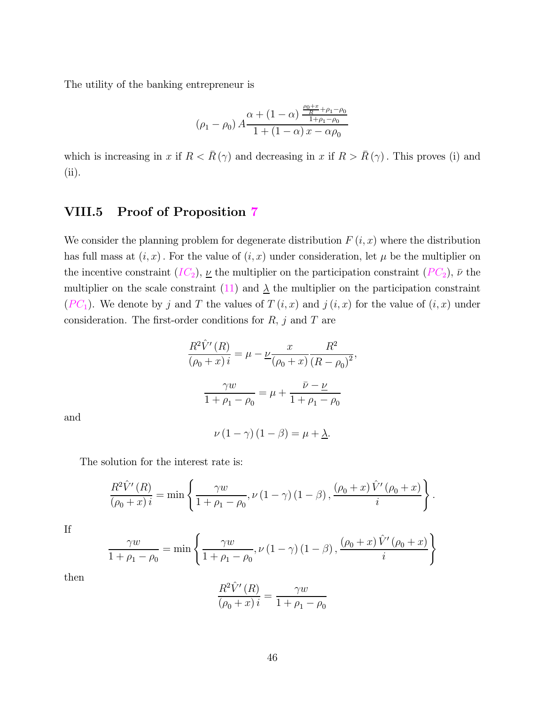The utility of the banking entrepreneur is

$$
(\rho_1 - \rho_0) A \frac{\alpha + (1 - \alpha) \frac{\rho_0 + x}{R} + \rho_1 - \rho_0}{1 + \rho_1 - \rho_0}
$$
  

$$
1 + (1 - \alpha) x - \alpha \rho_0
$$

which is increasing in x if  $R < \overline{R}(\gamma)$  and decreasing in x if  $R > \overline{R}(\gamma)$ . This proves (i) and (ii).

## VIII.5 Proof of Proposition 7

We consider the planning problem for degenerate distribution  $F(i, x)$  where the distribution has full mass at  $(i, x)$ . For the value of  $(i, x)$  under consideration, let  $\mu$  be the multiplier on the incentive constraint  $(IC_2)$ ,  $\nu$  the multiplier on the participation constraint  $(PC_2)$ ,  $\bar{\nu}$  the multiplier on the scale constraint (11) and  $\lambda$  the multiplier on the participation constraint  $(PC<sub>1</sub>)$ . We denote by j and T the values of  $T(i, x)$  and  $j(i, x)$  for the value of  $(i, x)$  under consideration. The first-order conditions for  $R$ ,  $j$  and  $T$  are

$$
\frac{R^2\hat{V}'(R)}{(\rho_0+x)\,i} = \mu - \frac{x}{(\rho_0+x)}\frac{R^2}{(R-\rho_0)^2},
$$

$$
\frac{\gamma w}{1+\rho_1-\rho_0} = \mu + \frac{\bar{\nu}-\underline{\nu}}{1+\rho_1-\rho_0}
$$

and

$$
\nu\left(1-\gamma\right)\left(1-\beta\right)=\mu+\underline{\lambda}.
$$

The solution for the interest rate is:

$$
\frac{R^2\hat{V}'(R)}{(\rho_0+x)\,i} = \min\left\{\frac{\gamma w}{1+\rho_1-\rho_0}, \nu(1-\gamma)(1-\beta), \frac{(\rho_0+x)\,\hat{V}'(\rho_0+x)}{i}\right\}.
$$

If

$$
\frac{\gamma w}{1+\rho_1-\rho_0} = \min\left\{\frac{\gamma w}{1+\rho_1-\rho_0}, \nu(1-\gamma)(1-\beta), \frac{(\rho_0+x)\hat{V}'(\rho_0+x)}{i}\right\}
$$

then

$$
\frac{R^2\hat{V}'(R)}{(\rho_0+x)\,i} = \frac{\gamma w}{1+\rho_1-\rho_0}
$$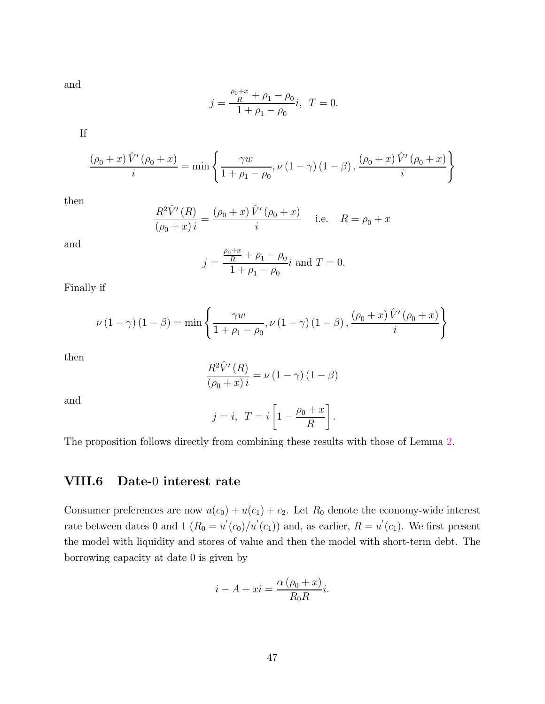and

$$
j = \frac{\frac{\rho_0 + x}{R} + \rho_1 - \rho_0}{1 + \rho_1 - \rho_0} i, \ T = 0.
$$

If

$$
\frac{(\rho_0+x)\hat{V}'(\rho_0+x)}{i} = \min\left\{\frac{\gamma w}{1+\rho_1-\rho_0}, \nu(1-\gamma)(1-\beta), \frac{(\rho_0+x)\hat{V}'(\rho_0+x)}{i}\right\}
$$

then

$$
\frac{R^2\hat{V}'(R)}{(\rho_0+x)\,i} = \frac{(\rho_0+x)\,\hat{V}'(\rho_0+x)}{i}
$$
 i.e.  $R = \rho_0 + x$ 

and

$$
j = \frac{\frac{\rho_0 + x}{R} + \rho_1 - \rho_0}{1 + \rho_1 - \rho_0} i
$$
 and  $T = 0$ .

Finally if

$$
\nu(1-\gamma)(1-\beta) = \min\left\{\frac{\gamma w}{1+\rho_1-\rho_0}, \nu(1-\gamma)(1-\beta), \frac{(\rho_0+x)\hat{V}'(\rho_0+x)}{i}\right\}
$$

then

$$
\frac{R^2\hat{V}'(R)}{(\rho_0+x)\,i} = \nu\left(1-\gamma\right)\left(1-\beta\right)
$$

and

$$
j = i, T = i \left[ 1 - \frac{\rho_0 + x}{R} \right].
$$

The proposition follows directly from combining these results with those of Lemma 2.

## VIII.6 Date-0 interest rate

Consumer preferences are now  $u(c_0) + u(c_1) + c_2$ . Let  $R_0$  denote the economy-wide interest rate between dates 0 and 1  $(R_0 = u'(c_0)/u'(c_1))$  and, as earlier,  $R = u'(c_1)$ . We first present the model with liquidity and stores of value and then the model with short-term debt. The borrowing capacity at date 0 is given by

$$
i - A + xi = \frac{\alpha (\rho_0 + x)}{R_0 R} i.
$$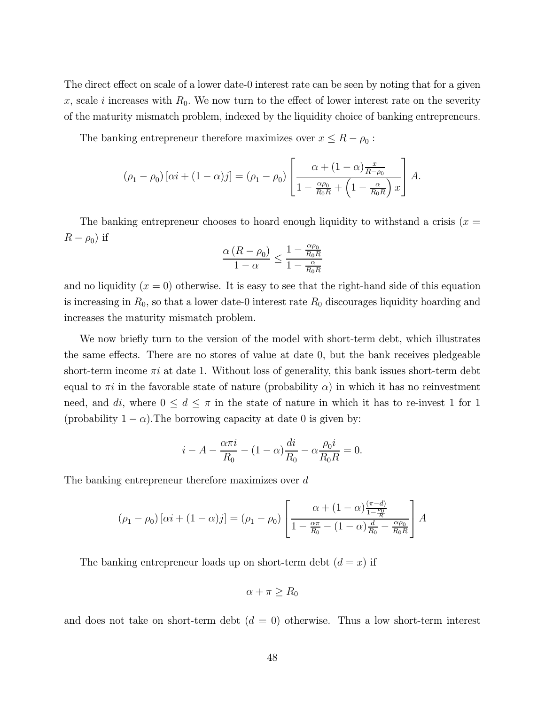The direct effect on scale of a lower date-0 interest rate can be seen by noting that for a given x, scale *i* increases with  $R_0$ . We now turn to the effect of lower interest rate on the severity of the maturity mismatch problem, indexed by the liquidity choice of banking entrepreneurs.

The banking entrepreneur therefore maximizes over  $x \leq R - \rho_0$ :

$$
(\rho_1 - \rho_0) [\alpha i + (1 - \alpha) j] = (\rho_1 - \rho_0) \left[ \frac{\alpha + (1 - \alpha) \frac{x}{R - \rho_0}}{1 - \frac{\alpha \rho_0}{R_0 R} + \left(1 - \frac{\alpha}{R_0 R}\right) x} \right] A.
$$

The banking entrepreneur chooses to hoard enough liquidity to withstand a crisis  $(x =$  $R - \rho_0$ ) if

$$
\frac{\alpha \left( R-\rho _{0}\right) }{1-\alpha }\leq \frac{1-\frac{\alpha \rho _{0}}{R_{0}R}}{1-\frac{\alpha }{R_{0}R}}
$$

and no liquidity  $(x = 0)$  otherwise. It is easy to see that the right-hand side of this equation is increasing in  $R_0$ , so that a lower date-0 interest rate  $R_0$  discourages liquidity hoarding and increases the maturity mismatch problem.

We now briefly turn to the version of the model with short-term debt, which illustrates the same effects. There are no stores of value at date 0, but the bank receives pledgeable short-term income  $\pi i$  at date 1. Without loss of generality, this bank issues short-term debt equal to  $\pi i$  in the favorable state of nature (probability  $\alpha$ ) in which it has no reinvestment need, and di, where  $0 \leq d \leq \pi$  in the state of nature in which it has to re-invest 1 for 1 (probability  $1 - \alpha$ ). The borrowing capacity at date 0 is given by:

$$
i - A - \frac{\alpha \pi i}{R_0} - (1 - \alpha) \frac{di}{R_0} - \alpha \frac{\rho_0 i}{R_0 R} = 0.
$$

The banking entrepreneur therefore maximizes over d

$$
(\rho_1 - \rho_0) [\alpha i + (1 - \alpha) j] = (\rho_1 - \rho_0) \left[ \frac{\alpha + (1 - \alpha) \frac{(\pi - d)}{1 - \frac{\rho_0}{R}}}{1 - \frac{\alpha \pi}{R_0} - (1 - \alpha) \frac{d}{R_0} - \frac{\alpha \rho_0}{R_0 R}} \right] A
$$

The banking entrepreneur loads up on short-term debt  $(d = x)$  if

$$
\alpha + \pi \ge R_0
$$

and does not take on short-term debt  $(d = 0)$  otherwise. Thus a low short-term interest